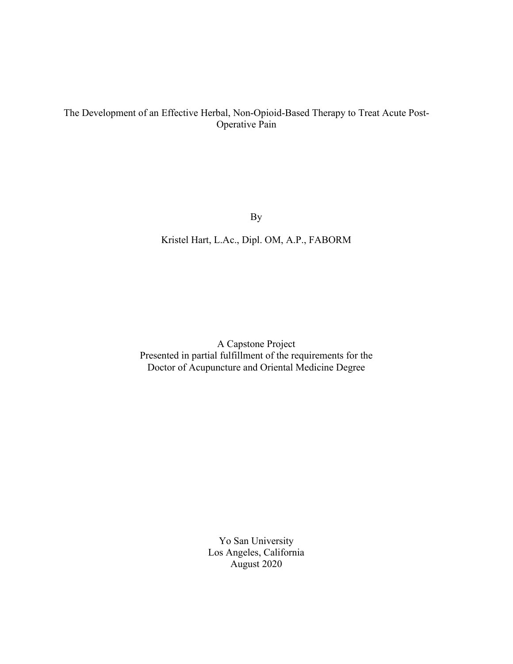# The Development of an Effective Herbal, Non-Opioid-Based Therapy to Treat Acute Post-Operative Pain

By

Kristel Hart, L.Ac., Dipl. OM, A.P., FABORM

A Capstone Project Presented in partial fulfillment of the requirements for the Doctor of Acupuncture and Oriental Medicine Degree

> Yo San University Los Angeles, California August 2020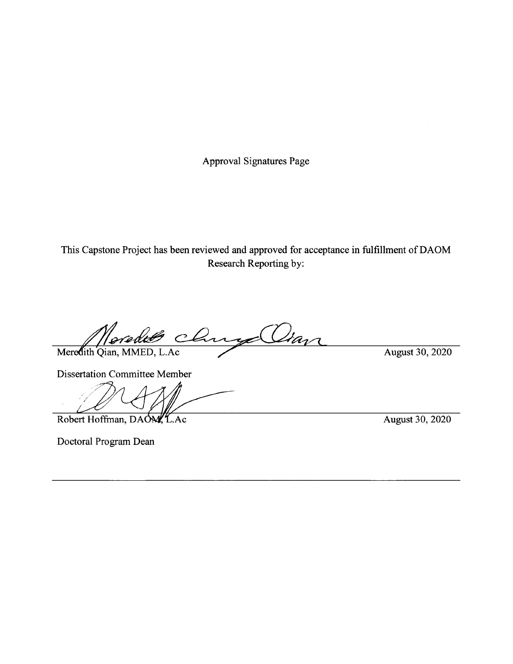Approval Signatures Page

This Capstone Project has been reviewed and approved for acceptance in fulfillment of DAOM<br>Research Reporting by:

Oran chu Meredith Qian, MMED, L.Ac

August 30, 2020

**Dissertation Committee Member** 

 $\mathscr{P}$  DA  $\mathcal{A}$   $\mathcal{M}$   $\longrightarrow$ 

Robert Hoffman, DAON, L.Ac August 30, 2020

Doctoral Program Dean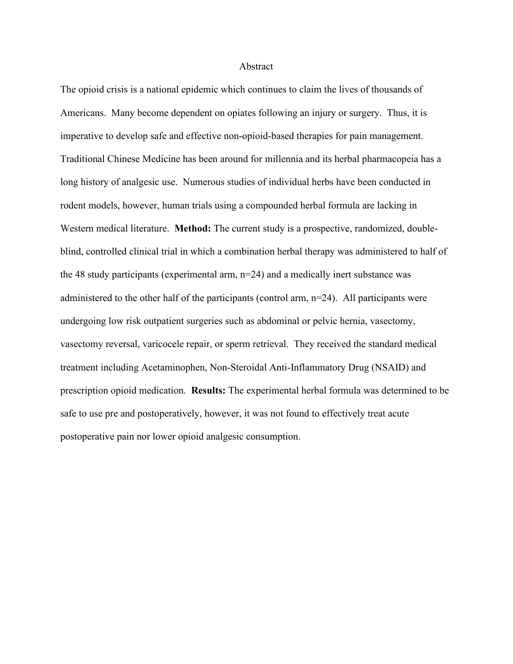#### Abstract

The opioid crisis is a national epidemic which continues to claim the lives of thousands of Americans. Many become dependent on opiates following an injury or surgery. Thus, it is imperative to develop safe and effective non-opioid-based therapies for pain management. Traditional Chinese Medicine has been around for millennia and its herbal pharmacopeia has a long history of analgesic use. Numerous studies of individual herbs have been conducted in rodent models, however, human trials using a compounded herbal formula are lacking in Western medical literature. **Method:** The current study is a prospective, randomized, doubleblind, controlled clinical trial in which a combination herbal therapy was administered to half of the 48 study participants (experimental arm, n=24) and a medically inert substance was administered to the other half of the participants (control arm,  $n=24$ ). All participants were undergoing low risk outpatient surgeries such as abdominal or pelvic hernia, vasectomy, vasectomy reversal, varicocele repair, or sperm retrieval. They received the standard medical treatment including Acetaminophen, Non-Steroidal Anti-Inflammatory Drug (NSAID) and prescription opioid medication. **Results:** The experimental herbal formula was determined to be safe to use pre and postoperatively, however, it was not found to effectively treat acute postoperative pain nor lower opioid analgesic consumption.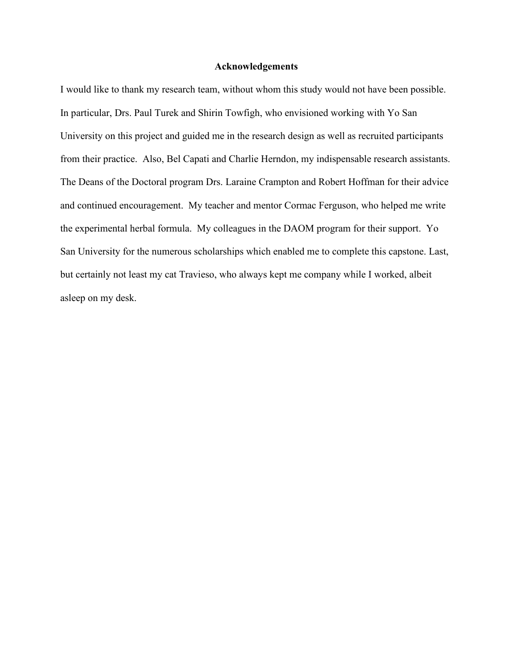#### **Acknowledgements**

I would like to thank my research team, without whom this study would not have been possible. In particular, Drs. Paul Turek and Shirin Towfigh, who envisioned working with Yo San University on this project and guided me in the research design as well as recruited participants from their practice. Also, Bel Capati and Charlie Herndon, my indispensable research assistants. The Deans of the Doctoral program Drs. Laraine Crampton and Robert Hoffman for their advice and continued encouragement. My teacher and mentor Cormac Ferguson, who helped me write the experimental herbal formula. My colleagues in the DAOM program for their support. Yo San University for the numerous scholarships which enabled me to complete this capstone. Last, but certainly not least my cat Travieso, who always kept me company while I worked, albeit asleep on my desk.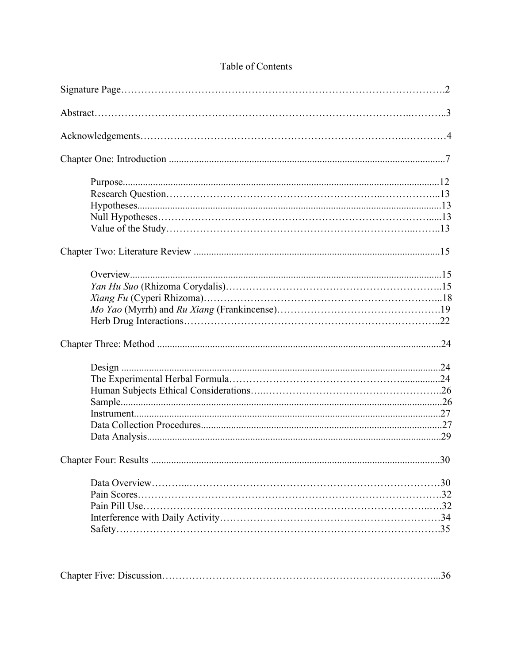| .30 |
|-----|
|     |
|     |
|     |
|     |
|     |
|     |
|     |

# Table of Contents

|--|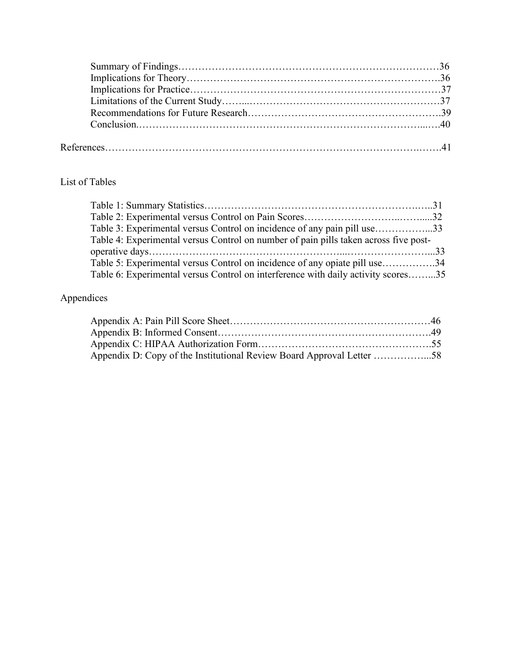# List of Tables

| Table 3: Experimental versus Control on incidence of any pain pill use33             |  |
|--------------------------------------------------------------------------------------|--|
| Table 4: Experimental versus Control on number of pain pills taken across five post- |  |
|                                                                                      |  |
| Table 5: Experimental versus Control on incidence of any opiate pill use34           |  |
| Table 6: Experimental versus Control on interference with daily activity scores35    |  |

# Appendices

| Appendix D: Copy of the Institutional Review Board Approval Letter 58 |  |
|-----------------------------------------------------------------------|--|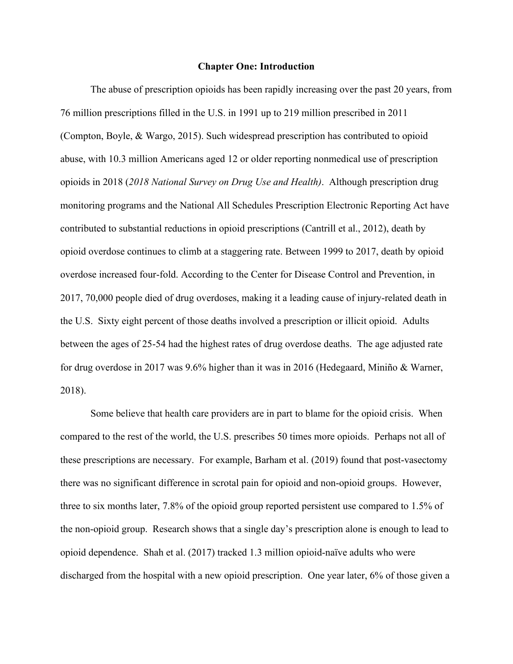#### **Chapter One: Introduction**

The abuse of prescription opioids has been rapidly increasing over the past 20 years, from 76 million prescriptions filled in the U.S. in 1991 up to 219 million prescribed in 2011 (Compton, Boyle, & Wargo, 2015). Such widespread prescription has contributed to opioid abuse, with 10.3 million Americans aged 12 or older reporting nonmedical use of prescription opioids in 2018 (*2018 National Survey on Drug Use and Health)*. Although prescription drug monitoring programs and the National All Schedules Prescription Electronic Reporting Act have contributed to substantial reductions in opioid prescriptions (Cantrill et al., 2012), death by opioid overdose continues to climb at a staggering rate. Between 1999 to 2017, death by opioid overdose increased four-fold. According to the Center for Disease Control and Prevention, in 2017, 70,000 people died of drug overdoses, making it a leading cause of injury-related death in the U.S. Sixty eight percent of those deaths involved a prescription or illicit opioid. Adults between the ages of 25-54 had the highest rates of drug overdose deaths. The age adjusted rate for drug overdose in 2017 was 9.6% higher than it was in 2016 (Hedegaard, Miniño & Warner, 2018).

Some believe that health care providers are in part to blame for the opioid crisis. When compared to the rest of the world, the U.S. prescribes 50 times more opioids. Perhaps not all of these prescriptions are necessary. For example, Barham et al. (2019) found that post-vasectomy there was no significant difference in scrotal pain for opioid and non-opioid groups. However, three to six months later, 7.8% of the opioid group reported persistent use compared to 1.5% of the non-opioid group. Research shows that a single day's prescription alone is enough to lead to opioid dependence. Shah et al. (2017) tracked 1.3 million opioid-naïve adults who were discharged from the hospital with a new opioid prescription. One year later, 6% of those given a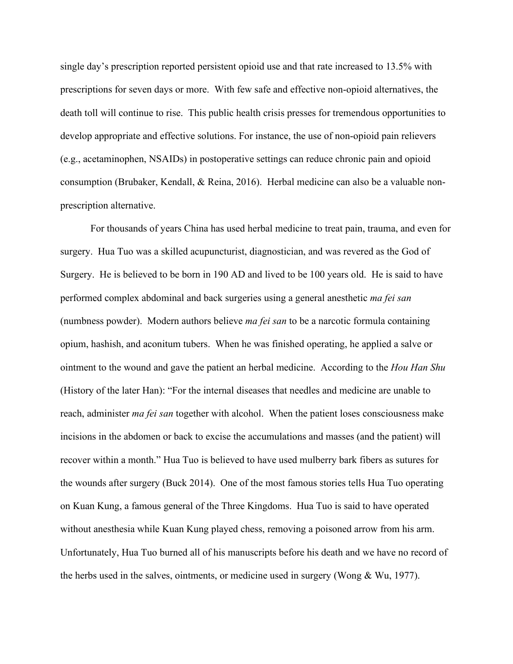single day's prescription reported persistent opioid use and that rate increased to 13.5% with prescriptions for seven days or more. With few safe and effective non-opioid alternatives, the death toll will continue to rise. This public health crisis presses for tremendous opportunities to develop appropriate and effective solutions. For instance, the use of non-opioid pain relievers (e.g., acetaminophen, NSAIDs) in postoperative settings can reduce chronic pain and opioid consumption (Brubaker, Kendall, & Reina, 2016). Herbal medicine can also be a valuable nonprescription alternative.

For thousands of years China has used herbal medicine to treat pain, trauma, and even for surgery. Hua Tuo was a skilled acupuncturist, diagnostician, and was revered as the God of Surgery. He is believed to be born in 190 AD and lived to be 100 years old. He is said to have performed complex abdominal and back surgeries using a general anesthetic *ma fei san*  (numbness powder). Modern authors believe *ma fei san* to be a narcotic formula containing opium, hashish, and aconitum tubers. When he was finished operating, he applied a salve or ointment to the wound and gave the patient an herbal medicine. According to the *Hou Han Shu* (History of the later Han): "For the internal diseases that needles and medicine are unable to reach, administer *ma fei san* together with alcohol. When the patient loses consciousness make incisions in the abdomen or back to excise the accumulations and masses (and the patient) will recover within a month." Hua Tuo is believed to have used mulberry bark fibers as sutures for the wounds after surgery (Buck 2014). One of the most famous stories tells Hua Tuo operating on Kuan Kung, a famous general of the Three Kingdoms. Hua Tuo is said to have operated without anesthesia while Kuan Kung played chess, removing a poisoned arrow from his arm. Unfortunately, Hua Tuo burned all of his manuscripts before his death and we have no record of the herbs used in the salves, ointments, or medicine used in surgery (Wong & Wu, 1977).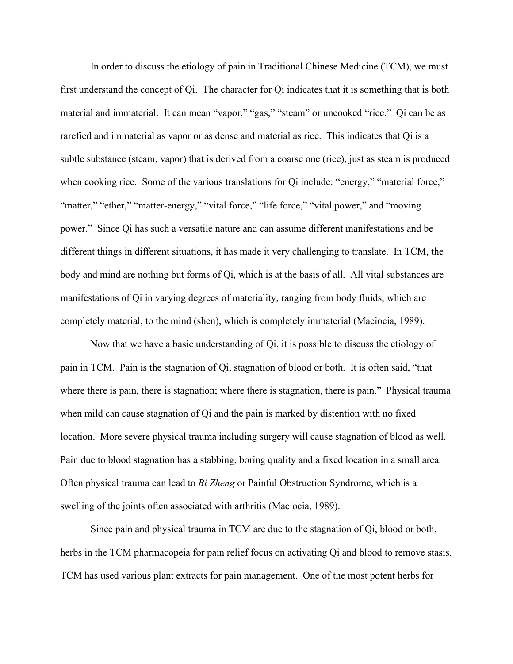In order to discuss the etiology of pain in Traditional Chinese Medicine (TCM), we must first understand the concept of Qi. The character for Qi indicates that it is something that is both material and immaterial. It can mean "vapor," "gas," "steam" or uncooked "rice." Qi can be as rarefied and immaterial as vapor or as dense and material as rice. This indicates that Qi is a subtle substance (steam, vapor) that is derived from a coarse one (rice), just as steam is produced when cooking rice. Some of the various translations for Qi include: "energy," "material force," "matter," "ether," "matter-energy," "vital force," "life force," "vital power," and "moving power." Since Qi has such a versatile nature and can assume different manifestations and be different things in different situations, it has made it very challenging to translate. In TCM, the body and mind are nothing but forms of Qi, which is at the basis of all. All vital substances are manifestations of Qi in varying degrees of materiality, ranging from body fluids, which are completely material, to the mind (shen), which is completely immaterial (Maciocia, 1989).

Now that we have a basic understanding of Qi, it is possible to discuss the etiology of pain in TCM. Pain is the stagnation of Qi, stagnation of blood or both. It is often said, "that where there is pain, there is stagnation; where there is stagnation, there is pain." Physical trauma when mild can cause stagnation of Qi and the pain is marked by distention with no fixed location. More severe physical trauma including surgery will cause stagnation of blood as well. Pain due to blood stagnation has a stabbing, boring quality and a fixed location in a small area. Often physical trauma can lead to *Bi Zheng* or Painful Obstruction Syndrome, which is a swelling of the joints often associated with arthritis (Maciocia, 1989).

Since pain and physical trauma in TCM are due to the stagnation of Qi, blood or both, herbs in the TCM pharmacopeia for pain relief focus on activating Qi and blood to remove stasis. TCM has used various plant extracts for pain management. One of the most potent herbs for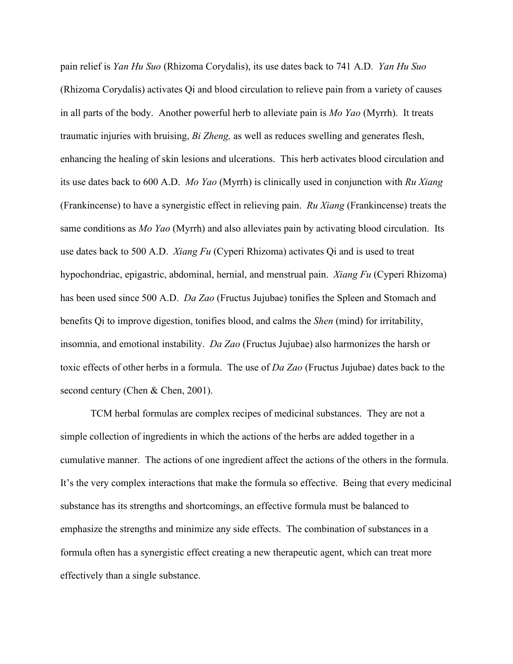pain relief is *Yan Hu Suo* (Rhizoma Corydalis), its use dates back to 741 A.D. *Yan Hu Suo* (Rhizoma Corydalis) activates Qi and blood circulation to relieve pain from a variety of causes in all parts of the body. Another powerful herb to alleviate pain is *Mo Yao* (Myrrh). It treats traumatic injuries with bruising, *Bi Zheng,* as well as reduces swelling and generates flesh, enhancing the healing of skin lesions and ulcerations. This herb activates blood circulation and its use dates back to 600 A.D. *Mo Yao* (Myrrh) is clinically used in conjunction with *Ru Xiang*  (Frankincense) to have a synergistic effect in relieving pain. *Ru Xiang* (Frankincense) treats the same conditions as *Mo Yao* (Myrrh) and also alleviates pain by activating blood circulation. Its use dates back to 500 A.D. *Xiang Fu* (Cyperi Rhizoma) activates Qi and is used to treat hypochondriac, epigastric, abdominal, hernial, and menstrual pain. *Xiang Fu* (Cyperi Rhizoma) has been used since 500 A.D. *Da Zao* (Fructus Jujubae) tonifies the Spleen and Stomach and benefits Qi to improve digestion, tonifies blood, and calms the *Shen* (mind) for irritability, insomnia, and emotional instability. *Da Zao* (Fructus Jujubae) also harmonizes the harsh or toxic effects of other herbs in a formula. The use of *Da Zao* (Fructus Jujubae) dates back to the second century (Chen & Chen, 2001).

TCM herbal formulas are complex recipes of medicinal substances. They are not a simple collection of ingredients in which the actions of the herbs are added together in a cumulative manner. The actions of one ingredient affect the actions of the others in the formula. It's the very complex interactions that make the formula so effective. Being that every medicinal substance has its strengths and shortcomings, an effective formula must be balanced to emphasize the strengths and minimize any side effects. The combination of substances in a formula often has a synergistic effect creating a new therapeutic agent, which can treat more effectively than a single substance.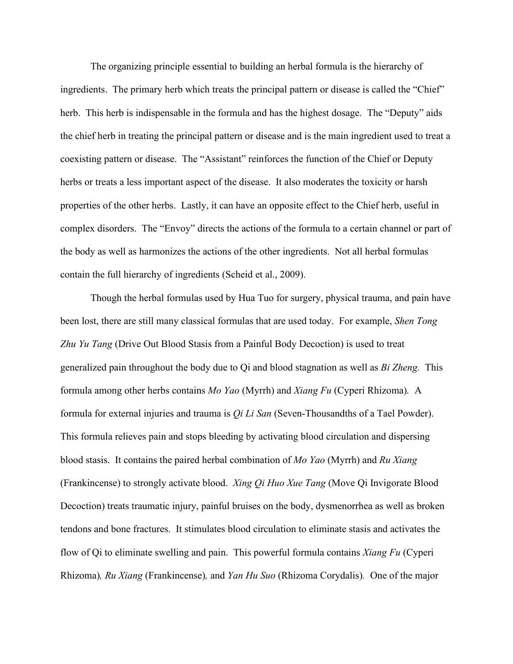The organizing principle essential to building an herbal formula is the hierarchy of ingredients. The primary herb which treats the principal pattern or disease is called the "Chief" herb. This herb is indispensable in the formula and has the highest dosage. The "Deputy" aids the chief herb in treating the principal pattern or disease and is the main ingredient used to treat a coexisting pattern or disease. The "Assistant" reinforces the function of the Chief or Deputy herbs or treats a less important aspect of the disease. It also moderates the toxicity or harsh properties of the other herbs. Lastly, it can have an opposite effect to the Chief herb, useful in complex disorders. The "Envoy" directs the actions of the formula to a certain channel or part of the body as well as harmonizes the actions of the other ingredients. Not all herbal formulas contain the full hierarchy of ingredients (Scheid et al., 2009).

Though the herbal formulas used by Hua Tuo for surgery, physical trauma, and pain have been lost, there are still many classical formulas that are used today. For example, *Shen Tong Zhu Yu Tang* (Drive Out Blood Stasis from a Painful Body Decoction) is used to treat generalized pain throughout the body due to Qi and blood stagnation as well as *Bi Zheng.* This formula among other herbs contains *Mo Yao* (Myrrh) and *Xiang Fu* (Cyperi Rhizoma)*.* A formula for external injuries and trauma is *Qi Li San* (Seven-Thousandths of a Tael Powder). This formula relieves pain and stops bleeding by activating blood circulation and dispersing blood stasis. It contains the paired herbal combination of *Mo Yao* (Myrrh) and *Ru Xiang*  (Frankincense) to strongly activate blood. *Xing Qi Huo Xue Tang* (Move Qi Invigorate Blood Decoction) treats traumatic injury, painful bruises on the body, dysmenorrhea as well as broken tendons and bone fractures. It stimulates blood circulation to eliminate stasis and activates the flow of Qi to eliminate swelling and pain. This powerful formula contains *Xiang Fu* (Cyperi Rhizoma)*, Ru Xiang* (Frankincense)*,* and *Yan Hu Suo* (Rhizoma Corydalis)*.* One of the major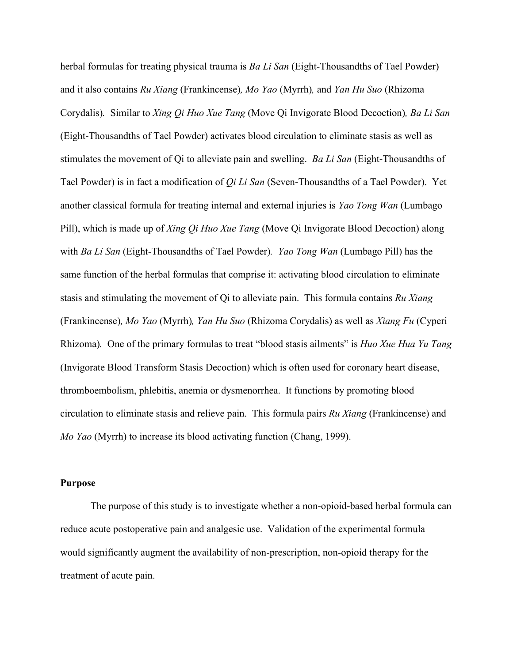herbal formulas for treating physical trauma is *Ba Li San* (Eight-Thousandths of Tael Powder) and it also contains *Ru Xiang* (Frankincense)*, Mo Yao* (Myrrh)*,* and *Yan Hu Suo* (Rhizoma Corydalis)*.* Similar to *Xing Qi Huo Xue Tang* (Move Qi Invigorate Blood Decoction)*, Ba Li San*  (Eight-Thousandths of Tael Powder) activates blood circulation to eliminate stasis as well as stimulates the movement of Qi to alleviate pain and swelling. *Ba Li San* (Eight-Thousandths of Tael Powder) is in fact a modification of *Qi Li San* (Seven-Thousandths of a Tael Powder). Yet another classical formula for treating internal and external injuries is *Yao Tong Wan* (Lumbago Pill), which is made up of *Xing Qi Huo Xue Tang* (Move Qi Invigorate Blood Decoction) along with *Ba Li San* (Eight-Thousandths of Tael Powder)*. Yao Tong Wan* (Lumbago Pill) has the same function of the herbal formulas that comprise it: activating blood circulation to eliminate stasis and stimulating the movement of Qi to alleviate pain. This formula contains *Ru Xiang*  (Frankincense)*, Mo Yao* (Myrrh)*, Yan Hu Suo* (Rhizoma Corydalis) as well as *Xiang Fu* (Cyperi Rhizoma)*.* One of the primary formulas to treat "blood stasis ailments" is *Huo Xue Hua Yu Tang* (Invigorate Blood Transform Stasis Decoction) which is often used for coronary heart disease, thromboembolism, phlebitis, anemia or dysmenorrhea. It functions by promoting blood circulation to eliminate stasis and relieve pain. This formula pairs *Ru Xiang* (Frankincense) and *Mo Yao* (Myrrh) to increase its blood activating function (Chang, 1999).

#### **Purpose**

The purpose of this study is to investigate whether a non-opioid-based herbal formula can reduce acute postoperative pain and analgesic use. Validation of the experimental formula would significantly augment the availability of non-prescription, non-opioid therapy for the treatment of acute pain.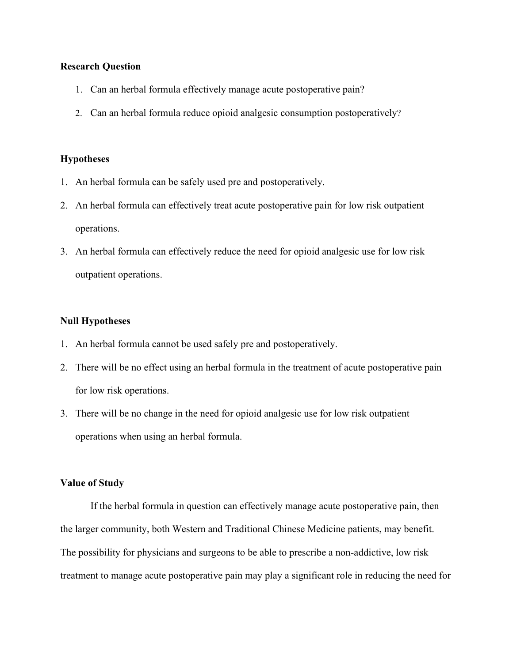## **Research Question**

- 1. Can an herbal formula effectively manage acute postoperative pain?
- 2. Can an herbal formula reduce opioid analgesic consumption postoperatively?

### **Hypotheses**

- 1. An herbal formula can be safely used pre and postoperatively.
- 2. An herbal formula can effectively treat acute postoperative pain for low risk outpatient operations.
- 3. An herbal formula can effectively reduce the need for opioid analgesic use for low risk outpatient operations.

## **Null Hypotheses**

- 1. An herbal formula cannot be used safely pre and postoperatively.
- 2. There will be no effect using an herbal formula in the treatment of acute postoperative pain for low risk operations.
- 3. There will be no change in the need for opioid analgesic use for low risk outpatient operations when using an herbal formula.

#### **Value of Study**

If the herbal formula in question can effectively manage acute postoperative pain, then the larger community, both Western and Traditional Chinese Medicine patients, may benefit. The possibility for physicians and surgeons to be able to prescribe a non-addictive, low risk treatment to manage acute postoperative pain may play a significant role in reducing the need for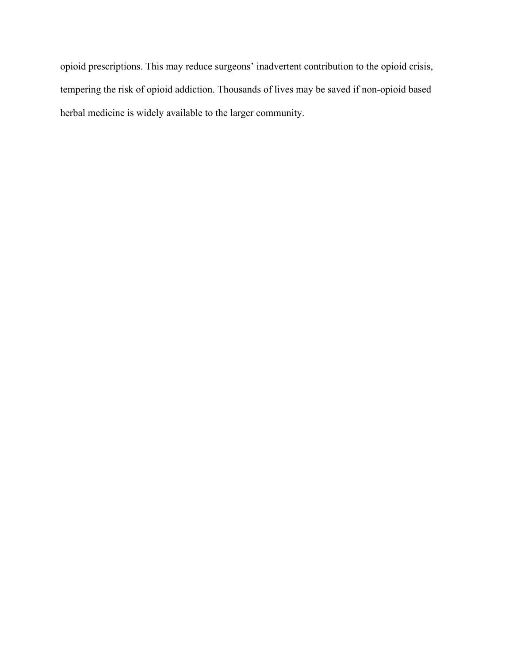opioid prescriptions. This may reduce surgeons' inadvertent contribution to the opioid crisis, tempering the risk of opioid addiction. Thousands of lives may be saved if non-opioid based herbal medicine is widely available to the larger community.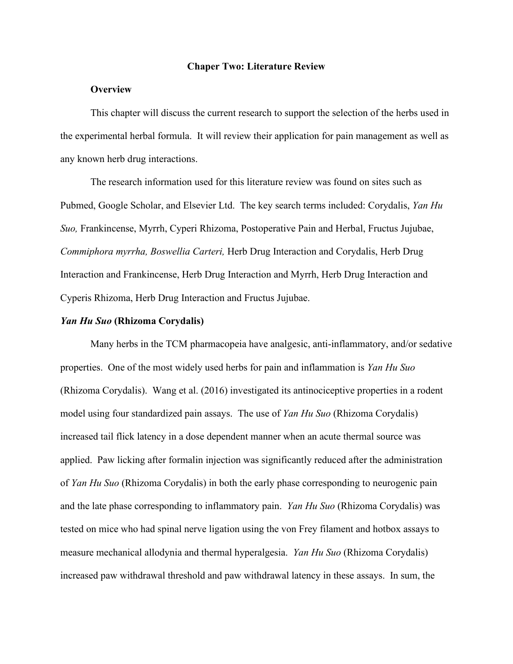#### **Chaper Two: Literature Review**

#### **Overview**

This chapter will discuss the current research to support the selection of the herbs used in the experimental herbal formula. It will review their application for pain management as well as any known herb drug interactions.

The research information used for this literature review was found on sites such as Pubmed, Google Scholar, and Elsevier Ltd. The key search terms included: Corydalis, *Yan Hu Suo,* Frankincense, Myrrh, Cyperi Rhizoma, Postoperative Pain and Herbal, Fructus Jujubae, *Commiphora myrrha, Boswellia Carteri,* Herb Drug Interaction and Corydalis, Herb Drug Interaction and Frankincense, Herb Drug Interaction and Myrrh, Herb Drug Interaction and Cyperis Rhizoma, Herb Drug Interaction and Fructus Jujubae.

## *Yan Hu Suo* **(Rhizoma Corydalis)**

Many herbs in the TCM pharmacopeia have analgesic, anti-inflammatory, and/or sedative properties. One of the most widely used herbs for pain and inflammation is *Yan Hu Suo* (Rhizoma Corydalis). Wang et al. (2016) investigated its antinociceptive properties in a rodent model using four standardized pain assays. The use of *Yan Hu Suo* (Rhizoma Corydalis) increased tail flick latency in a dose dependent manner when an acute thermal source was applied. Paw licking after formalin injection was significantly reduced after the administration of *Yan Hu Suo* (Rhizoma Corydalis) in both the early phase corresponding to neurogenic pain and the late phase corresponding to inflammatory pain. *Yan Hu Suo* (Rhizoma Corydalis) was tested on mice who had spinal nerve ligation using the von Frey filament and hotbox assays to measure mechanical allodynia and thermal hyperalgesia. *Yan Hu Suo* (Rhizoma Corydalis) increased paw withdrawal threshold and paw withdrawal latency in these assays. In sum, the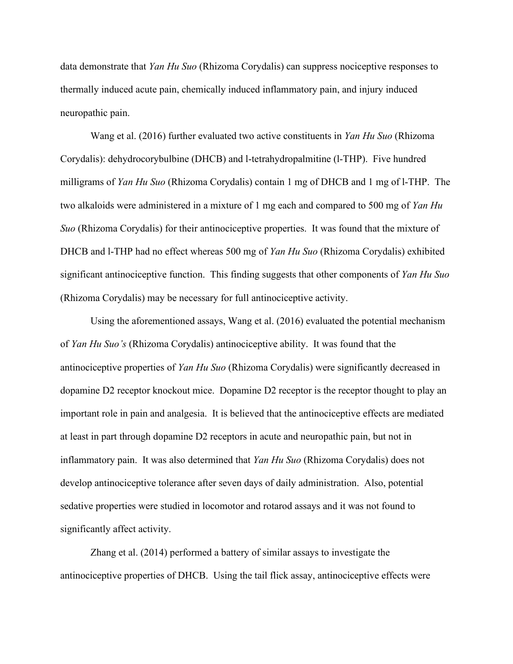data demonstrate that *Yan Hu Suo* (Rhizoma Corydalis) can suppress nociceptive responses to thermally induced acute pain, chemically induced inflammatory pain, and injury induced neuropathic pain.

Wang et al. (2016) further evaluated two active constituents in *Yan Hu Suo* (Rhizoma Corydalis): dehydrocorybulbine (DHCB) and l-tetrahydropalmitine (l-THP). Five hundred milligrams of *Yan Hu Suo* (Rhizoma Corydalis) contain 1 mg of DHCB and 1 mg of l-THP. The two alkaloids were administered in a mixture of 1 mg each and compared to 500 mg of *Yan Hu Suo* (Rhizoma Corydalis) for their antinociceptive properties. It was found that the mixture of DHCB and l-THP had no effect whereas 500 mg of *Yan Hu Suo* (Rhizoma Corydalis) exhibited significant antinociceptive function. This finding suggests that other components of *Yan Hu Suo* (Rhizoma Corydalis) may be necessary for full antinociceptive activity.

Using the aforementioned assays, Wang et al. (2016) evaluated the potential mechanism of *Yan Hu Suo's* (Rhizoma Corydalis) antinociceptive ability. It was found that the antinociceptive properties of *Yan Hu Suo* (Rhizoma Corydalis) were significantly decreased in dopamine D2 receptor knockout mice. Dopamine D2 receptor is the receptor thought to play an important role in pain and analgesia. It is believed that the antinociceptive effects are mediated at least in part through dopamine D2 receptors in acute and neuropathic pain, but not in inflammatory pain. It was also determined that *Yan Hu Suo* (Rhizoma Corydalis) does not develop antinociceptive tolerance after seven days of daily administration. Also, potential sedative properties were studied in locomotor and rotarod assays and it was not found to significantly affect activity.

Zhang et al. (2014) performed a battery of similar assays to investigate the antinociceptive properties of DHCB. Using the tail flick assay, antinociceptive effects were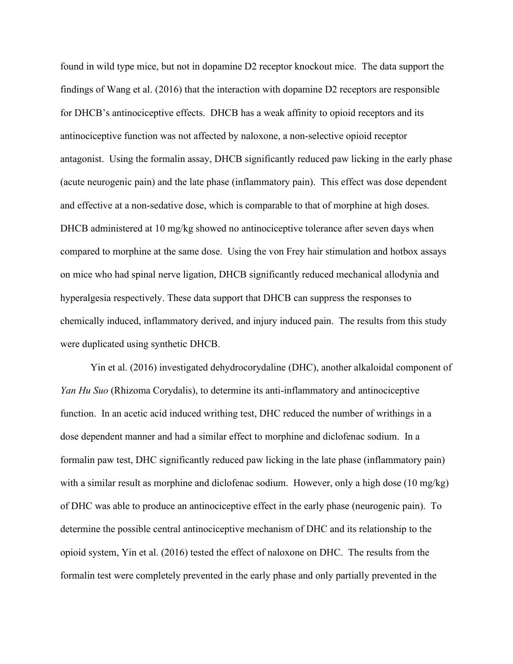found in wild type mice, but not in dopamine D2 receptor knockout mice. The data support the findings of Wang et al. (2016) that the interaction with dopamine D2 receptors are responsible for DHCB's antinociceptive effects. DHCB has a weak affinity to opioid receptors and its antinociceptive function was not affected by naloxone, a non-selective opioid receptor antagonist. Using the formalin assay, DHCB significantly reduced paw licking in the early phase (acute neurogenic pain) and the late phase (inflammatory pain). This effect was dose dependent and effective at a non-sedative dose, which is comparable to that of morphine at high doses. DHCB administered at 10 mg/kg showed no antinociceptive tolerance after seven days when compared to morphine at the same dose. Using the von Frey hair stimulation and hotbox assays on mice who had spinal nerve ligation, DHCB significantly reduced mechanical allodynia and hyperalgesia respectively. These data support that DHCB can suppress the responses to chemically induced, inflammatory derived, and injury induced pain. The results from this study were duplicated using synthetic DHCB.

Yin et al. (2016) investigated dehydrocorydaline (DHC), another alkaloidal component of *Yan Hu Suo* (Rhizoma Corydalis), to determine its anti-inflammatory and antinociceptive function. In an acetic acid induced writhing test, DHC reduced the number of writhings in a dose dependent manner and had a similar effect to morphine and diclofenac sodium. In a formalin paw test, DHC significantly reduced paw licking in the late phase (inflammatory pain) with a similar result as morphine and diclofenac sodium. However, only a high dose (10 mg/kg) of DHC was able to produce an antinociceptive effect in the early phase (neurogenic pain). To determine the possible central antinociceptive mechanism of DHC and its relationship to the opioid system, Yin et al. (2016) tested the effect of naloxone on DHC. The results from the formalin test were completely prevented in the early phase and only partially prevented in the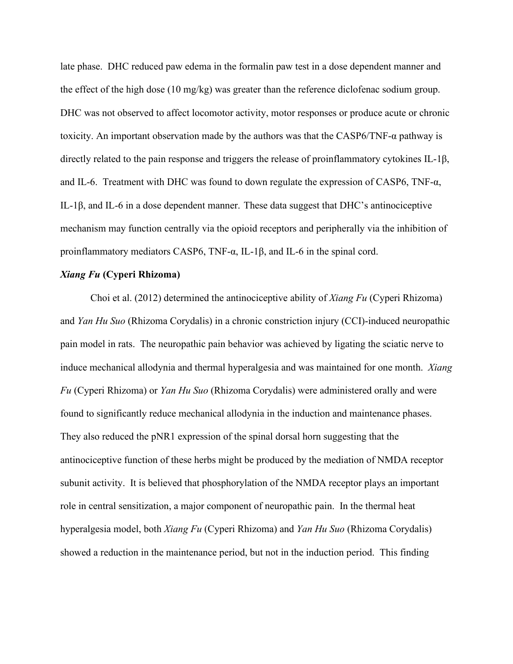late phase. DHC reduced paw edema in the formalin paw test in a dose dependent manner and the effect of the high dose (10 mg/kg) was greater than the reference diclofenac sodium group. DHC was not observed to affect locomotor activity, motor responses or produce acute or chronic toxicity. An important observation made by the authors was that the CASP6/TNF-α pathway is directly related to the pain response and triggers the release of proinflammatory cytokines IL-1β, and IL-6. Treatment with DHC was found to down regulate the expression of CASP6, TNF- $\alpha$ , IL-1β, and IL-6 in a dose dependent manner. These data suggest that DHC's antinociceptive mechanism may function centrally via the opioid receptors and peripherally via the inhibition of proinflammatory mediators CASP6, TNF- $\alpha$ , IL-1 $\beta$ , and IL-6 in the spinal cord.

#### *Xiang Fu* **(Cyperi Rhizoma)**

Choi et al. (2012) determined the antinociceptive ability of *Xiang Fu* (Cyperi Rhizoma) and *Yan Hu Suo* (Rhizoma Corydalis) in a chronic constriction injury (CCI)-induced neuropathic pain model in rats. The neuropathic pain behavior was achieved by ligating the sciatic nerve to induce mechanical allodynia and thermal hyperalgesia and was maintained for one month. *Xiang Fu* (Cyperi Rhizoma) or *Yan Hu Suo* (Rhizoma Corydalis) were administered orally and were found to significantly reduce mechanical allodynia in the induction and maintenance phases. They also reduced the pNR1 expression of the spinal dorsal horn suggesting that the antinociceptive function of these herbs might be produced by the mediation of NMDA receptor subunit activity. It is believed that phosphorylation of the NMDA receptor plays an important role in central sensitization, a major component of neuropathic pain. In the thermal heat hyperalgesia model, both *Xiang Fu* (Cyperi Rhizoma) and *Yan Hu Suo* (Rhizoma Corydalis) showed a reduction in the maintenance period, but not in the induction period. This finding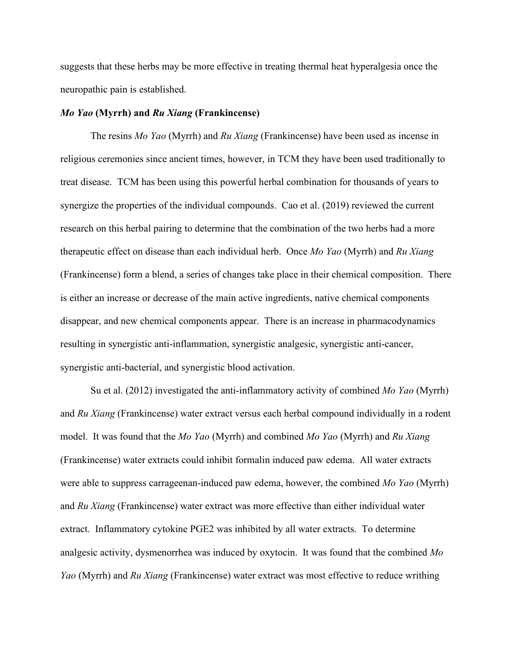suggests that these herbs may be more effective in treating thermal heat hyperalgesia once the neuropathic pain is established.

#### *Mo Yao* **(Myrrh) and** *Ru Xiang* **(Frankincense)**

The resins *Mo Yao* (Myrrh) and *Ru Xiang* (Frankincense) have been used as incense in religious ceremonies since ancient times, however, in TCM they have been used traditionally to treat disease. TCM has been using this powerful herbal combination for thousands of years to synergize the properties of the individual compounds. Cao et al. (2019) reviewed the current research on this herbal pairing to determine that the combination of the two herbs had a more therapeutic effect on disease than each individual herb. Once *Mo Yao* (Myrrh) and *Ru Xiang*  (Frankincense) form a blend, a series of changes take place in their chemical composition. There is either an increase or decrease of the main active ingredients, native chemical components disappear, and new chemical components appear. There is an increase in pharmacodynamics resulting in synergistic anti-inflammation, synergistic analgesic, synergistic anti-cancer, synergistic anti-bacterial, and synergistic blood activation.

Su et al. (2012) investigated the anti-inflammatory activity of combined *Mo Yao* (Myrrh) and *Ru Xiang* (Frankincense) water extract versus each herbal compound individually in a rodent model. It was found that the *Mo Yao* (Myrrh) and combined *Mo Yao* (Myrrh) and *Ru Xiang*  (Frankincense) water extracts could inhibit formalin induced paw edema. All water extracts were able to suppress carrageenan-induced paw edema, however, the combined *Mo Yao* (Myrrh) and *Ru Xiang* (Frankincense) water extract was more effective than either individual water extract. Inflammatory cytokine PGE2 was inhibited by all water extracts. To determine analgesic activity, dysmenorrhea was induced by oxytocin. It was found that the combined *Mo Yao* (Myrrh) and *Ru Xiang* (Frankincense) water extract was most effective to reduce writhing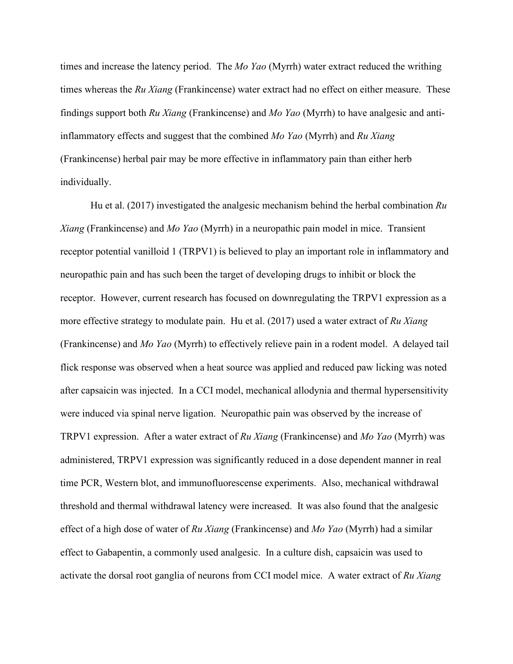times and increase the latency period. The *Mo Yao* (Myrrh) water extract reduced the writhing times whereas the *Ru Xiang* (Frankincense) water extract had no effect on either measure. These findings support both *Ru Xiang* (Frankincense) and *Mo Yao* (Myrrh) to have analgesic and antiinflammatory effects and suggest that the combined *Mo Yao* (Myrrh) and *Ru Xiang*  (Frankincense) herbal pair may be more effective in inflammatory pain than either herb individually.

Hu et al. (2017) investigated the analgesic mechanism behind the herbal combination *Ru Xiang* (Frankincense) and *Mo Yao* (Myrrh) in a neuropathic pain model in mice. Transient receptor potential vanilloid 1 (TRPV1) is believed to play an important role in inflammatory and neuropathic pain and has such been the target of developing drugs to inhibit or block the receptor. However, current research has focused on downregulating the TRPV1 expression as a more effective strategy to modulate pain. Hu et al. (2017) used a water extract of *Ru Xiang*  (Frankincense) and *Mo Yao* (Myrrh) to effectively relieve pain in a rodent model. A delayed tail flick response was observed when a heat source was applied and reduced paw licking was noted after capsaicin was injected. In a CCI model, mechanical allodynia and thermal hypersensitivity were induced via spinal nerve ligation. Neuropathic pain was observed by the increase of TRPV1 expression. After a water extract of *Ru Xiang* (Frankincense) and *Mo Yao* (Myrrh) was administered, TRPV1 expression was significantly reduced in a dose dependent manner in real time PCR, Western blot, and immunofluorescense experiments. Also, mechanical withdrawal threshold and thermal withdrawal latency were increased. It was also found that the analgesic effect of a high dose of water of *Ru Xiang* (Frankincense) and *Mo Yao* (Myrrh) had a similar effect to Gabapentin, a commonly used analgesic. In a culture dish, capsaicin was used to activate the dorsal root ganglia of neurons from CCI model mice. A water extract of *Ru Xiang*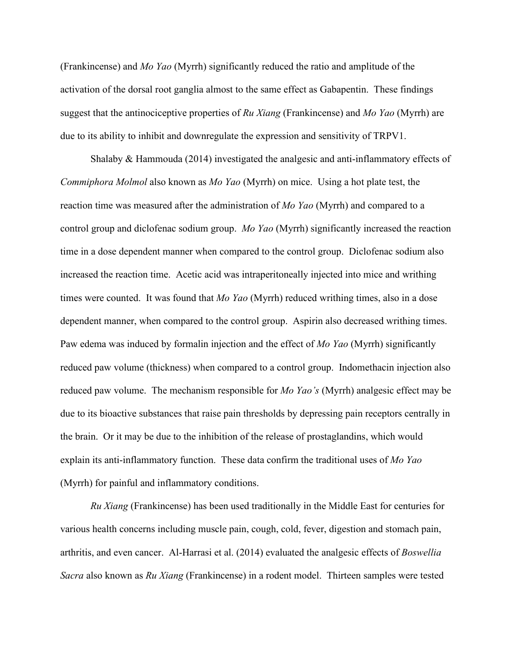(Frankincense) and *Mo Yao* (Myrrh) significantly reduced the ratio and amplitude of the activation of the dorsal root ganglia almost to the same effect as Gabapentin. These findings suggest that the antinociceptive properties of *Ru Xiang* (Frankincense) and *Mo Yao* (Myrrh) are due to its ability to inhibit and downregulate the expression and sensitivity of TRPV1.

Shalaby & Hammouda (2014) investigated the analgesic and anti-inflammatory effects of *Commiphora Molmol* also known as *Mo Yao* (Myrrh) on mice. Using a hot plate test, the reaction time was measured after the administration of *Mo Yao* (Myrrh) and compared to a control group and diclofenac sodium group. *Mo Yao* (Myrrh) significantly increased the reaction time in a dose dependent manner when compared to the control group. Diclofenac sodium also increased the reaction time. Acetic acid was intraperitoneally injected into mice and writhing times were counted. It was found that *Mo Yao* (Myrrh) reduced writhing times, also in a dose dependent manner, when compared to the control group. Aspirin also decreased writhing times. Paw edema was induced by formalin injection and the effect of *Mo Yao* (Myrrh) significantly reduced paw volume (thickness) when compared to a control group. Indomethacin injection also reduced paw volume. The mechanism responsible for *Mo Yao's* (Myrrh) analgesic effect may be due to its bioactive substances that raise pain thresholds by depressing pain receptors centrally in the brain. Or it may be due to the inhibition of the release of prostaglandins, which would explain its anti-inflammatory function. These data confirm the traditional uses of *Mo Yao*  (Myrrh) for painful and inflammatory conditions.

*Ru Xiang* (Frankincense) has been used traditionally in the Middle East for centuries for various health concerns including muscle pain, cough, cold, fever, digestion and stomach pain, arthritis, and even cancer. Al-Harrasi et al. (2014) evaluated the analgesic effects of *Boswellia Sacra* also known as *Ru Xiang* (Frankincense) in a rodent model. Thirteen samples were tested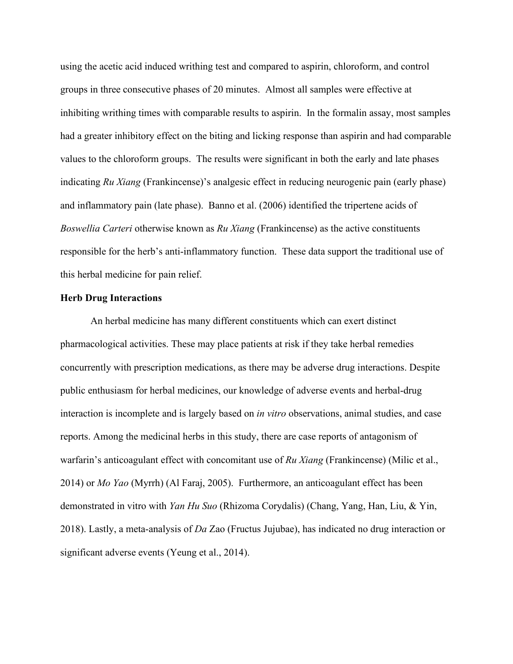using the acetic acid induced writhing test and compared to aspirin, chloroform, and control groups in three consecutive phases of 20 minutes. Almost all samples were effective at inhibiting writhing times with comparable results to aspirin. In the formalin assay, most samples had a greater inhibitory effect on the biting and licking response than aspirin and had comparable values to the chloroform groups. The results were significant in both the early and late phases indicating *Ru Xiang* (Frankincense)'s analgesic effect in reducing neurogenic pain (early phase) and inflammatory pain (late phase). Banno et al. (2006) identified the tripertene acids of *Boswellia Carteri* otherwise known as *Ru Xiang* (Frankincense) as the active constituents responsible for the herb's anti-inflammatory function. These data support the traditional use of this herbal medicine for pain relief.

## **Herb Drug Interactions**

An herbal medicine has many different constituents which can exert distinct pharmacological activities. These may place patients at risk if they take herbal remedies concurrently with prescription medications, as there may be adverse drug interactions. Despite public enthusiasm for herbal medicines, our knowledge of adverse events and herbal-drug interaction is incomplete and is largely based on *in vitro* observations, animal studies, and case reports. Among the medicinal herbs in this study, there are case reports of antagonism of warfarin's anticoagulant effect with concomitant use of *Ru Xiang* (Frankincense) (Milic et al., 2014) or *Mo Yao* (Myrrh) (Al Faraj, 2005). Furthermore, an anticoagulant effect has been demonstrated in vitro with *Yan Hu Suo* (Rhizoma Corydalis) (Chang, Yang, Han, Liu, & Yin, 2018). Lastly, a meta-analysis of *Da* Zao (Fructus Jujubae), has indicated no drug interaction or significant adverse events (Yeung et al., 2014).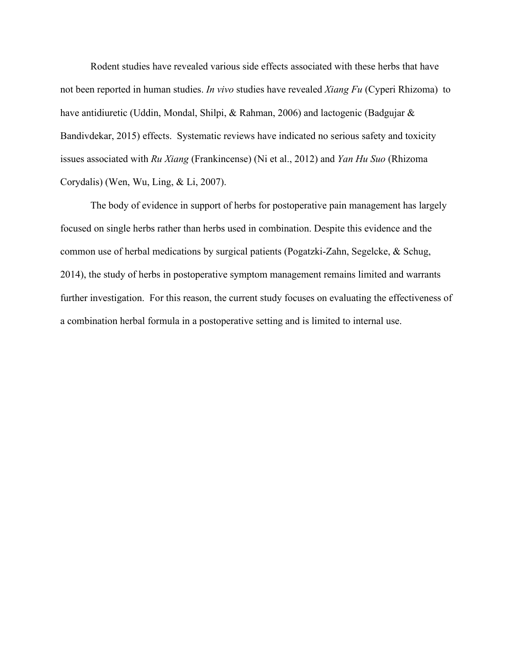Rodent studies have revealed various side effects associated with these herbs that have not been reported in human studies. *In vivo* studies have revealed *Xiang Fu* (Cyperi Rhizoma) to have antidiuretic (Uddin, Mondal, Shilpi, & Rahman, 2006) and lactogenic (Badgujar & Bandivdekar, 2015) effects. Systematic reviews have indicated no serious safety and toxicity issues associated with *Ru Xiang* (Frankincense) (Ni et al., 2012) and *Yan Hu Suo* (Rhizoma Corydalis) (Wen, Wu, Ling, & Li, 2007).

The body of evidence in support of herbs for postoperative pain management has largely focused on single herbs rather than herbs used in combination. Despite this evidence and the common use of herbal medications by surgical patients (Pogatzki-Zahn, Segelcke, & Schug, 2014), the study of herbs in postoperative symptom management remains limited and warrants further investigation. For this reason, the current study focuses on evaluating the effectiveness of a combination herbal formula in a postoperative setting and is limited to internal use.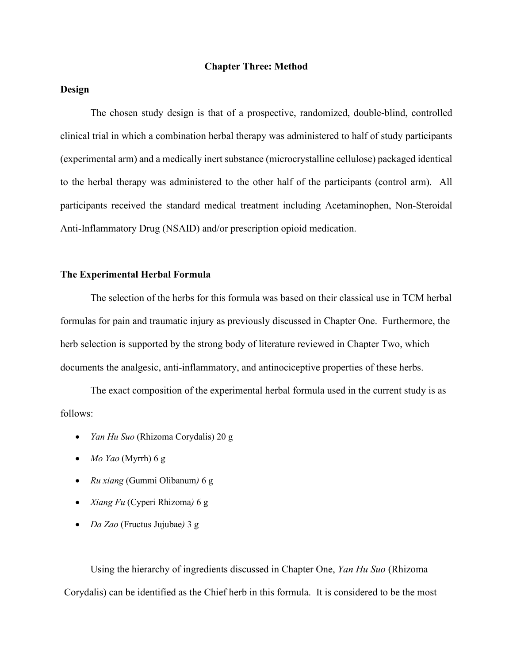#### **Chapter Three: Method**

## **Design**

The chosen study design is that of a prospective, randomized, double-blind, controlled clinical trial in which a combination herbal therapy was administered to half of study participants (experimental arm) and a medically inert substance (microcrystalline cellulose) packaged identical to the herbal therapy was administered to the other half of the participants (control arm). All participants received the standard medical treatment including Acetaminophen, Non-Steroidal Anti-Inflammatory Drug (NSAID) and/or prescription opioid medication.

#### **The Experimental Herbal Formula**

The selection of the herbs for this formula was based on their classical use in TCM herbal formulas for pain and traumatic injury as previously discussed in Chapter One. Furthermore, the herb selection is supported by the strong body of literature reviewed in Chapter Two, which documents the analgesic, anti-inflammatory, and antinociceptive properties of these herbs.

The exact composition of the experimental herbal formula used in the current study is as follows:

- *Yan Hu Suo* (Rhizoma Corydalis) 20 g
- *Mo Yao* (Myrrh) 6 g
- *Ru xiang* (Gummi Olibanum*)* 6 g
- *Xiang Fu* (Cyperi Rhizoma*)* 6 g
- *Da Zao* (Fructus Jujubae*)* 3 g

Using the hierarchy of ingredients discussed in Chapter One, *Yan Hu Suo* (Rhizoma Corydalis) can be identified as the Chief herb in this formula. It is considered to be the most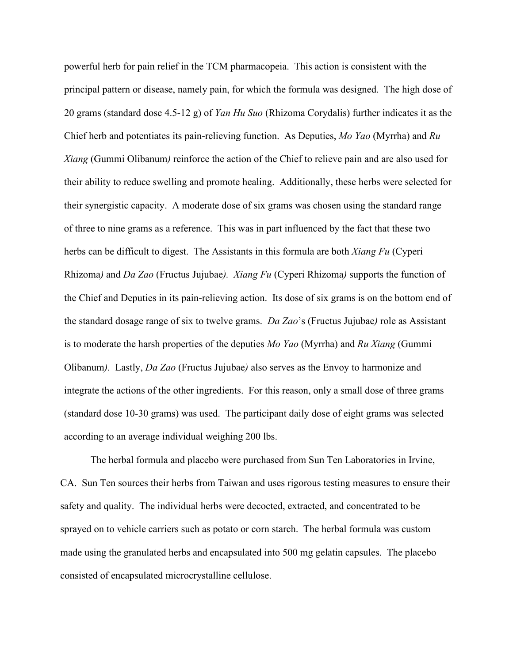powerful herb for pain relief in the TCM pharmacopeia. This action is consistent with the principal pattern or disease, namely pain, for which the formula was designed. The high dose of 20 grams (standard dose 4.5-12 g) of *Yan Hu Suo* (Rhizoma Corydalis) further indicates it as the Chief herb and potentiates its pain-relieving function. As Deputies, *Mo Yao* (Myrrha) and *Ru Xiang* (Gummi Olibanum*)* reinforce the action of the Chief to relieve pain and are also used for their ability to reduce swelling and promote healing. Additionally, these herbs were selected for their synergistic capacity. A moderate dose of six grams was chosen using the standard range of three to nine grams as a reference. This was in part influenced by the fact that these two herbs can be difficult to digest. The Assistants in this formula are both *Xiang Fu* (Cyperi Rhizoma*)* and *Da Zao* (Fructus Jujubae*). Xiang Fu* (Cyperi Rhizoma*)* supports the function of the Chief and Deputies in its pain-relieving action. Its dose of six grams is on the bottom end of the standard dosage range of six to twelve grams. *Da Zao*'s (Fructus Jujubae*)* role as Assistant is to moderate the harsh properties of the deputies *Mo Yao* (Myrrha) and *Ru Xiang* (Gummi Olibanum*).* Lastly, *Da Zao* (Fructus Jujubae*)* also serves as the Envoy to harmonize and integrate the actions of the other ingredients. For this reason, only a small dose of three grams (standard dose 10-30 grams) was used. The participant daily dose of eight grams was selected according to an average individual weighing 200 lbs.

The herbal formula and placebo were purchased from Sun Ten Laboratories in Irvine, CA. Sun Ten sources their herbs from Taiwan and uses rigorous testing measures to ensure their safety and quality. The individual herbs were decocted, extracted, and concentrated to be sprayed on to vehicle carriers such as potato or corn starch. The herbal formula was custom made using the granulated herbs and encapsulated into 500 mg gelatin capsules. The placebo consisted of encapsulated microcrystalline cellulose.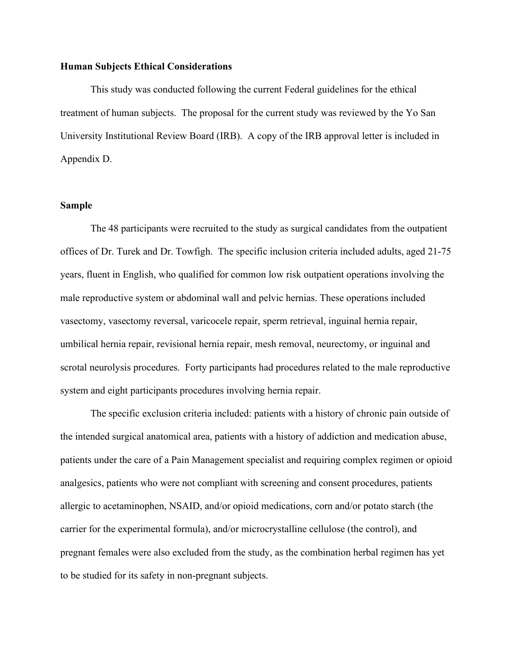### **Human Subjects Ethical Considerations**

This study was conducted following the current Federal guidelines for the ethical treatment of human subjects. The proposal for the current study was reviewed by the Yo San University Institutional Review Board (IRB). A copy of the IRB approval letter is included in Appendix D.

#### **Sample**

The 48 participants were recruited to the study as surgical candidates from the outpatient offices of Dr. Turek and Dr. Towfigh. The specific inclusion criteria included adults, aged 21-75 years, fluent in English, who qualified for common low risk outpatient operations involving the male reproductive system or abdominal wall and pelvic hernias. These operations included vasectomy, vasectomy reversal, varicocele repair, sperm retrieval, inguinal hernia repair, umbilical hernia repair, revisional hernia repair, mesh removal, neurectomy, or inguinal and scrotal neurolysis procedures. Forty participants had procedures related to the male reproductive system and eight participants procedures involving hernia repair.

The specific exclusion criteria included: patients with a history of chronic pain outside of the intended surgical anatomical area, patients with a history of addiction and medication abuse, patients under the care of a Pain Management specialist and requiring complex regimen or opioid analgesics, patients who were not compliant with screening and consent procedures, patients allergic to acetaminophen, NSAID, and/or opioid medications, corn and/or potato starch (the carrier for the experimental formula), and/or microcrystalline cellulose (the control), and pregnant females were also excluded from the study, as the combination herbal regimen has yet to be studied for its safety in non-pregnant subjects.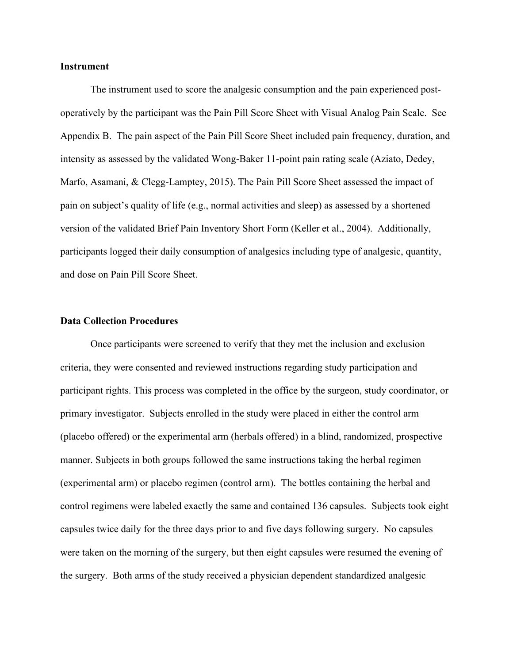#### **Instrument**

The instrument used to score the analgesic consumption and the pain experienced postoperatively by the participant was the Pain Pill Score Sheet with Visual Analog Pain Scale. See Appendix B. The pain aspect of the Pain Pill Score Sheet included pain frequency, duration, and intensity as assessed by the validated Wong-Baker 11-point pain rating scale (Aziato, Dedey, Marfo, Asamani, & Clegg-Lamptey, 2015). The Pain Pill Score Sheet assessed the impact of pain on subject's quality of life (e.g., normal activities and sleep) as assessed by a shortened version of the validated Brief Pain Inventory Short Form (Keller et al., 2004). Additionally, participants logged their daily consumption of analgesics including type of analgesic, quantity, and dose on Pain Pill Score Sheet.

#### **Data Collection Procedures**

Once participants were screened to verify that they met the inclusion and exclusion criteria, they were consented and reviewed instructions regarding study participation and participant rights. This process was completed in the office by the surgeon, study coordinator, or primary investigator. Subjects enrolled in the study were placed in either the control arm (placebo offered) or the experimental arm (herbals offered) in a blind, randomized, prospective manner. Subjects in both groups followed the same instructions taking the herbal regimen (experimental arm) or placebo regimen (control arm). The bottles containing the herbal and control regimens were labeled exactly the same and contained 136 capsules. Subjects took eight capsules twice daily for the three days prior to and five days following surgery. No capsules were taken on the morning of the surgery, but then eight capsules were resumed the evening of the surgery. Both arms of the study received a physician dependent standardized analgesic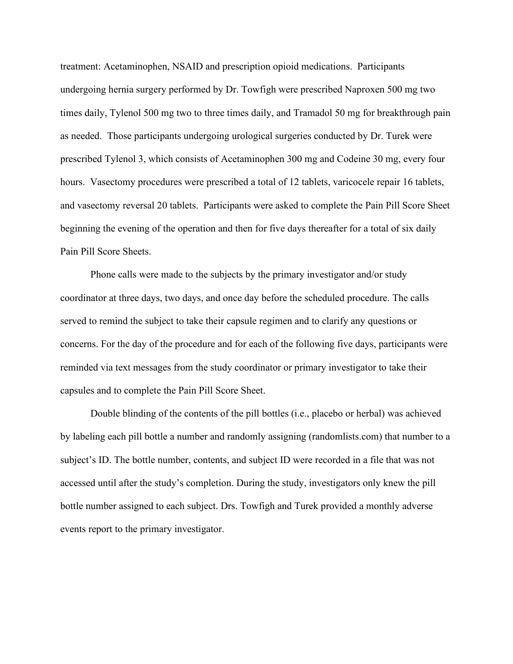treatment: Acetaminophen, NSAID and prescription opioid medications. Participants undergoing hernia surgery performed by Dr. Towfigh were prescribed Naproxen 500 mg two times daily, Tylenol 500 mg two to three times daily, and Tramadol 50 mg for breakthrough pain as needed. Those participants undergoing urological surgeries conducted by Dr. Turek were prescribed Tylenol 3, which consists of Acetaminophen 300 mg and Codeine 30 mg, every four hours. Vasectomy procedures were prescribed a total of 12 tablets, varicocele repair 16 tablets, and vasectomy reversal 20 tablets. Participants were asked to complete the Pain Pill Score Sheet beginning the evening of the operation and then for five days thereafter for a total of six daily Pain Pill Score Sheets.

Phone calls were made to the subjects by the primary investigator and/or study coordinator at three days, two days, and once day before the scheduled procedure. The calls served to remind the subject to take their capsule regimen and to clarify any questions or concerns. For the day of the procedure and for each of the following five days, participants were reminded via text messages from the study coordinator or primary investigator to take their capsules and to complete the Pain Pill Score Sheet.

Double blinding of the contents of the pill bottles (i.e., placebo or herbal) was achieved by labeling each pill bottle a number and randomly assigning (randomlists.com) that number to a subject's ID. The bottle number, contents, and subject ID were recorded in a file that was not accessed until after the study's completion. During the study, investigators only knew the pill bottle number assigned to each subject. Drs. Towfigh and Turek provided a monthly adverse events report to the primary investigator.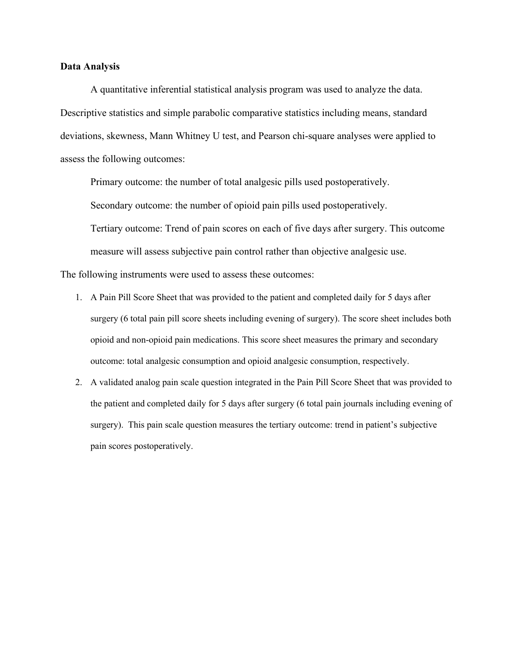#### **Data Analysis**

A quantitative inferential statistical analysis program was used to analyze the data. Descriptive statistics and simple parabolic comparative statistics including means, standard deviations, skewness, Mann Whitney U test, and Pearson chi-square analyses were applied to assess the following outcomes:

Primary outcome: the number of total analgesic pills used postoperatively. Secondary outcome: the number of opioid pain pills used postoperatively. Tertiary outcome: Trend of pain scores on each of five days after surgery. This outcome measure will assess subjective pain control rather than objective analgesic use.

The following instruments were used to assess these outcomes:

- 1. A Pain Pill Score Sheet that was provided to the patient and completed daily for 5 days after surgery (6 total pain pill score sheets including evening of surgery). The score sheet includes both opioid and non-opioid pain medications. This score sheet measures the primary and secondary outcome: total analgesic consumption and opioid analgesic consumption, respectively.
- 2. A validated analog pain scale question integrated in the Pain Pill Score Sheet that was provided to the patient and completed daily for 5 days after surgery (6 total pain journals including evening of surgery). This pain scale question measures the tertiary outcome: trend in patient's subjective pain scores postoperatively.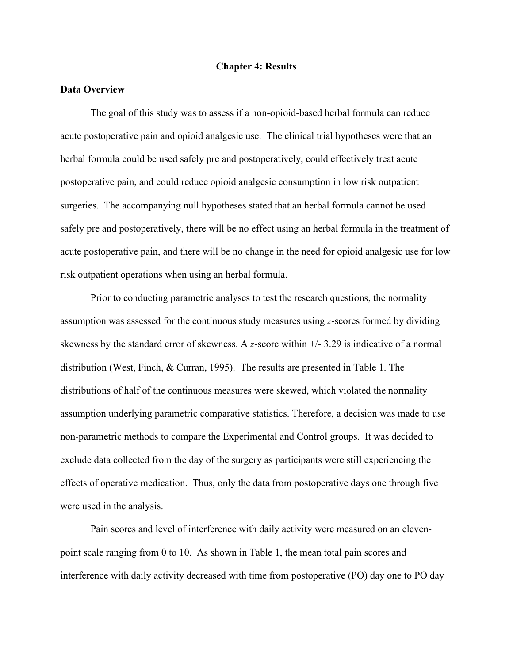#### **Chapter 4: Results**

## **Data Overview**

The goal of this study was to assess if a non-opioid-based herbal formula can reduce acute postoperative pain and opioid analgesic use. The clinical trial hypotheses were that an herbal formula could be used safely pre and postoperatively, could effectively treat acute postoperative pain, and could reduce opioid analgesic consumption in low risk outpatient surgeries. The accompanying null hypotheses stated that an herbal formula cannot be used safely pre and postoperatively, there will be no effect using an herbal formula in the treatment of acute postoperative pain, and there will be no change in the need for opioid analgesic use for low risk outpatient operations when using an herbal formula.

Prior to conducting parametric analyses to test the research questions, the normality assumption was assessed for the continuous study measures using *z*-scores formed by dividing skewness by the standard error of skewness. A *z*-score within +/- 3.29 is indicative of a normal distribution (West, Finch, & Curran, 1995). The results are presented in Table 1. The distributions of half of the continuous measures were skewed, which violated the normality assumption underlying parametric comparative statistics. Therefore, a decision was made to use non-parametric methods to compare the Experimental and Control groups. It was decided to exclude data collected from the day of the surgery as participants were still experiencing the effects of operative medication. Thus, only the data from postoperative days one through five were used in the analysis.

Pain scores and level of interference with daily activity were measured on an elevenpoint scale ranging from 0 to 10. As shown in Table 1, the mean total pain scores and interference with daily activity decreased with time from postoperative (PO) day one to PO day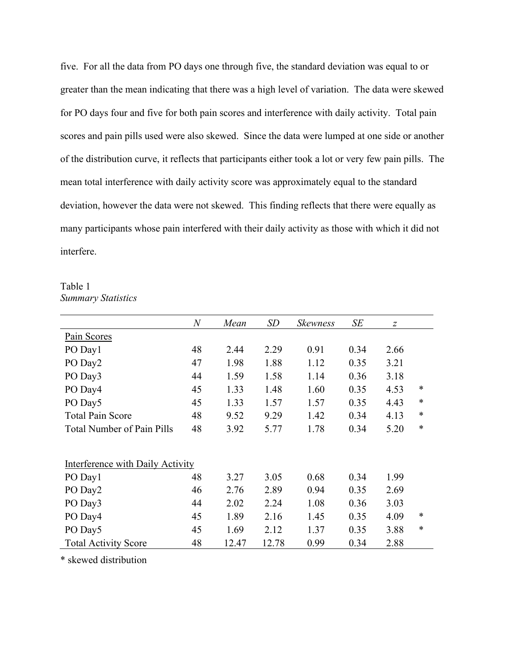five. For all the data from PO days one through five, the standard deviation was equal to or greater than the mean indicating that there was a high level of variation. The data were skewed for PO days four and five for both pain scores and interference with daily activity. Total pain scores and pain pills used were also skewed. Since the data were lumped at one side or another of the distribution curve, it reflects that participants either took a lot or very few pain pills. The mean total interference with daily activity score was approximately equal to the standard deviation, however the data were not skewed. This finding reflects that there were equally as many participants whose pain interfered with their daily activity as those with which it did not interfere.

Table 1 *Summary Statistics*

|                                   | $\overline{N}$ | Mean  | SD    | <b>Skewness</b> | SE   | Z    |        |
|-----------------------------------|----------------|-------|-------|-----------------|------|------|--------|
| Pain Scores                       |                |       |       |                 |      |      |        |
| PO Day1                           | 48             | 2.44  | 2.29  | 0.91            | 0.34 | 2.66 |        |
| PO Day2                           | 47             | 1.98  | 1.88  | 1.12            | 0.35 | 3.21 |        |
| PO Day3                           | 44             | 1.59  | 1.58  | 1.14            | 0.36 | 3.18 |        |
| PO Day4                           | 45             | 1.33  | 1.48  | 1.60            | 0.35 | 4.53 | ∗      |
| PO Day5                           | 45             | 1.33  | 1.57  | 1.57            | 0.35 | 4.43 | $\ast$ |
| <b>Total Pain Score</b>           | 48             | 9.52  | 9.29  | 1.42            | 0.34 | 4.13 | *      |
| <b>Total Number of Pain Pills</b> | 48             | 3.92  | 5.77  | 1.78            | 0.34 | 5.20 | *      |
|                                   |                |       |       |                 |      |      |        |
| Interference with Daily Activity  |                |       |       |                 |      |      |        |
| PO Day1                           | 48             | 3.27  | 3.05  | 0.68            | 0.34 | 1.99 |        |
| PO Day2                           | 46             | 2.76  | 2.89  | 0.94            | 0.35 | 2.69 |        |
| PO Day3                           | 44             | 2.02  | 2.24  | 1.08            | 0.36 | 3.03 |        |
| PO Day4                           | 45             | 1.89  | 2.16  | 1.45            | 0.35 | 4.09 | ∗      |
| PO Day5                           | 45             | 1.69  | 2.12  | 1.37            | 0.35 | 3.88 | *      |
| <b>Total Activity Score</b>       | 48             | 12.47 | 12.78 | 0.99            | 0.34 | 2.88 |        |

\* skewed distribution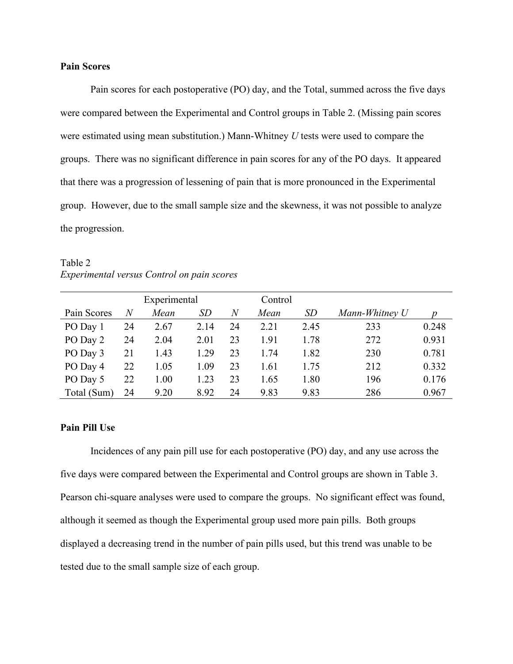## **Pain Scores**

Pain scores for each postoperative (PO) day, and the Total, summed across the five days were compared between the Experimental and Control groups in Table 2. (Missing pain scores were estimated using mean substitution.) Mann-Whitney *U* tests were used to compare the groups. There was no significant difference in pain scores for any of the PO days. It appeared that there was a progression of lessening of pain that is more pronounced in the Experimental group. However, due to the small sample size and the skewness, it was not possible to analyze the progression.

Table 2 *Experimental versus Control on pain scores*

|             |    | Experimental |      |                | Control |      |                |       |
|-------------|----|--------------|------|----------------|---------|------|----------------|-------|
| Pain Scores | N  | Mean         | SD   | $\overline{N}$ | Mean    | SD   | Mann-Whitney U |       |
| PO Day 1    | 24 | 2.67         | 2.14 | 24             | 2.21    | 2.45 | 233            | 0.248 |
| PO Day 2    | 24 | 2.04         | 2.01 | 23             | 1.91    | 1.78 | 272            | 0.931 |
| PO Day 3    | 21 | 1.43         | 1.29 | 23             | 1.74    | 1.82 | 230            | 0.781 |
| PO Day 4    | 22 | 1.05         | 1.09 | 23             | 1.61    | 1.75 | 212            | 0.332 |
| PO Day 5    | 22 | 1.00         | 1.23 | 23             | 1.65    | 1.80 | 196            | 0.176 |
| Total (Sum) | 24 | 9.20         | 8.92 | 24             | 9.83    | 9.83 | 286            | 0.967 |

#### **Pain Pill Use**

Incidences of any pain pill use for each postoperative (PO) day, and any use across the five days were compared between the Experimental and Control groups are shown in Table 3. Pearson chi-square analyses were used to compare the groups. No significant effect was found, although it seemed as though the Experimental group used more pain pills. Both groups displayed a decreasing trend in the number of pain pills used, but this trend was unable to be tested due to the small sample size of each group.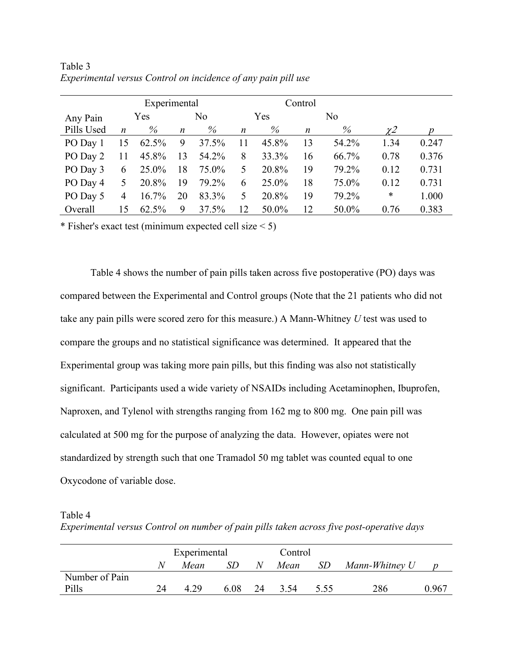|            | Experimental     |          |                  |       |                  |       | Control |       |                     |       |
|------------|------------------|----------|------------------|-------|------------------|-------|---------|-------|---------------------|-------|
| Any Pain   |                  | Yes      |                  | No    |                  | Yes   |         | No    |                     |       |
| Pills Used | $\boldsymbol{n}$ | %        | $\boldsymbol{n}$ | $\%$  | $\boldsymbol{n}$ | $\%$  | n       | %     | $\chi$ <sup>2</sup> |       |
| PO Day 1   | 15               | 62.5%    | 9                | 37.5% | 11               | 45.8% | 13      | 54.2% | 1.34                | 0.247 |
| PO Day 2   | 11               | 45.8%    | 13               | 54.2% | 8                | 33.3% | 16      | 66.7% | 0.78                | 0.376 |
| PO Day 3   | 6                | 25.0%    | 18               | 75.0% | 5                | 20.8% | 19      | 79.2% | 0.12                | 0.731 |
| PO Day 4   | 5.               | 20.8%    | 19               | 79.2% | 6                | 25.0% | 18      | 75.0% | 0.12                | 0.731 |
| PO Day 5   | 4                | $16.7\%$ | 20               | 83.3% | 5                | 20.8% | 19      | 79.2% | $\ast$              | 1.000 |
| Overall    | 15               | 62.5%    | 9                | 37.5% | 12               | 50.0% | 12      | 50.0% | 0.76                | 0.383 |

Table 3 *Experimental versus Control on incidence of any pain pill use*

\* Fisher's exact test (minimum expected cell size  $\leq 5$ )

Table 4 shows the number of pain pills taken across five postoperative (PO) days was compared between the Experimental and Control groups (Note that the 21 patients who did not take any pain pills were scored zero for this measure.) A Mann-Whitney *U* test was used to compare the groups and no statistical significance was determined. It appeared that the Experimental group was taking more pain pills, but this finding was also not statistically significant. Participants used a wide variety of NSAIDs including Acetaminophen, Ibuprofen, Naproxen, and Tylenol with strengths ranging from 162 mg to 800 mg. One pain pill was calculated at 500 mg for the purpose of analyzing the data. However, opiates were not standardized by strength such that one Tramadol 50 mg tablet was counted equal to one Oxycodone of variable dose.

Table 4

*Experimental versus Control on number of pain pills taken across five post-operative days*

|                |    | Experimental |      | Control |      |      |                |       |
|----------------|----|--------------|------|---------|------|------|----------------|-------|
|                |    | Mean         |      | N       | Mean | SD   | Mann-Whitney U |       |
| Number of Pain |    |              |      |         |      |      |                |       |
| Pills          | 24 | 4.29         | 6.08 | 24      | 3.54 | 5.55 | 286            | 0.967 |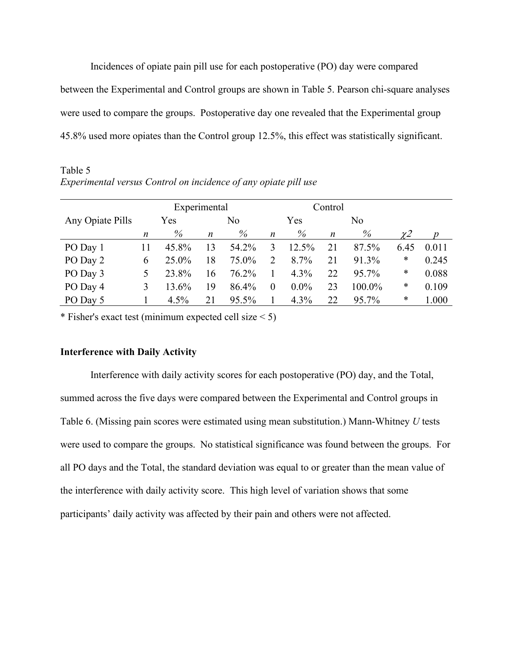Incidences of opiate pain pill use for each postoperative (PO) day were compared between the Experimental and Control groups are shown in Table 5. Pearson chi-square analyses were used to compare the groups. Postoperative day one revealed that the Experimental group 45.8% used more opiates than the Control group 12.5%, this effect was statistically significant.

Table 5 *Experimental versus Control on incidence of any opiate pill use*

|                  | Experimental |       |    |                |                  | Control |    |                |         |       |
|------------------|--------------|-------|----|----------------|------------------|---------|----|----------------|---------|-------|
| Any Opiate Pills | Yes          |       |    | N <sub>o</sub> |                  | Yes     |    | N <sub>o</sub> |         |       |
|                  | n            | $\%$  | n  | $\%$           | $\boldsymbol{n}$ | %       | n  | %              | $\chi2$ |       |
| PO Day 1         | 11           | 45.8% | 13 | 54.2%          | 3                | 12.5%   | 21 | 87.5%          | 6.45    | 0.011 |
| PO Day 2         | 6            | 25.0% | 18 | 75.0%          | 2                | 8.7%    | 21 | 91.3%          | ∗       | 0.245 |
| PO Day 3         | 5            | 23.8% | 16 | 76.2%          |                  | 4.3%    | 22 | 95.7%          | ∗       | 0.088 |
| PO Day 4         | 3            | 13.6% | 19 | 86.4%          | $\theta$         | $0.0\%$ | 23 | 100.0%         | ∗       | 0.109 |
| PO Day 5         |              | 4.5%  | 21 | 95.5%          |                  | 4.3%    | 22 | 95.7%          | ∗       | 1.000 |

\* Fisher's exact test (minimum expected cell size  $\leq 5$ )

### **Interference with Daily Activity**

Interference with daily activity scores for each postoperative (PO) day, and the Total, summed across the five days were compared between the Experimental and Control groups in Table 6. (Missing pain scores were estimated using mean substitution.) Mann-Whitney *U* tests were used to compare the groups. No statistical significance was found between the groups. For all PO days and the Total, the standard deviation was equal to or greater than the mean value of the interference with daily activity score. This high level of variation shows that some participants' daily activity was affected by their pain and others were not affected.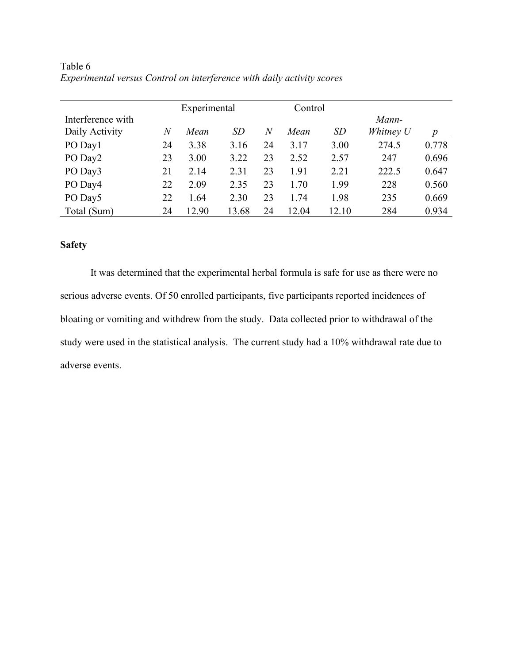|                   | Experimental |       |           |    | Control |       |           |       |
|-------------------|--------------|-------|-----------|----|---------|-------|-----------|-------|
| Interference with |              |       |           |    |         |       | Mann-     |       |
| Daily Activity    | $\,N$        | Mean  | <i>SD</i> | N  | Mean    | SD    | Whitney U |       |
| PO Day1           | 24           | 3.38  | 3.16      | 24 | 3.17    | 3.00  | 274.5     | 0.778 |
| PO Day2           | 23           | 3.00  | 3.22      | 23 | 2.52    | 2.57  | 247       | 0.696 |
| PO Day3           | 21           | 2.14  | 2.31      | 23 | 1.91    | 2.21  | 222.5     | 0.647 |
| PO Day4           | 22           | 2.09  | 2.35      | 23 | 1.70    | 1.99  | 228       | 0.560 |
| PO Day5           | 22           | 1.64  | 2.30      | 23 | 1.74    | 1.98  | 235       | 0.669 |
| Total (Sum)       | 24           | 12.90 | 13.68     | 24 | 12.04   | 12.10 | 284       | 0.934 |

Table 6 *Experimental versus Control on interference with daily activity scores*

## **Safety**

It was determined that the experimental herbal formula is safe for use as there were no serious adverse events. Of 50 enrolled participants, five participants reported incidences of bloating or vomiting and withdrew from the study. Data collected prior to withdrawal of the study were used in the statistical analysis. The current study had a 10% withdrawal rate due to adverse events.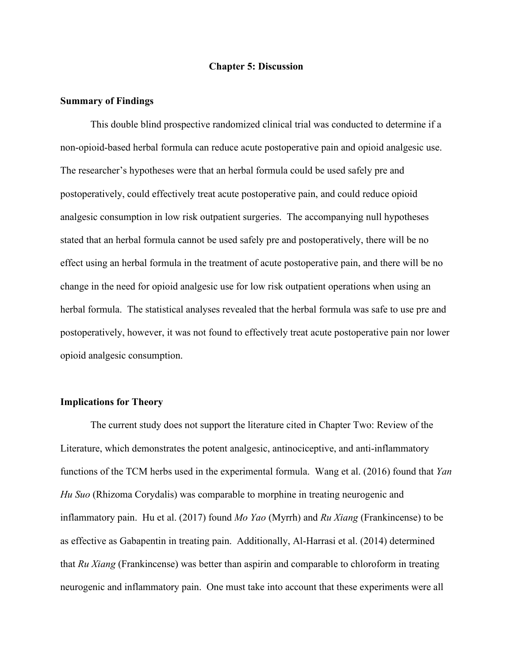#### **Chapter 5: Discussion**

#### **Summary of Findings**

This double blind prospective randomized clinical trial was conducted to determine if a non-opioid-based herbal formula can reduce acute postoperative pain and opioid analgesic use. The researcher's hypotheses were that an herbal formula could be used safely pre and postoperatively, could effectively treat acute postoperative pain, and could reduce opioid analgesic consumption in low risk outpatient surgeries. The accompanying null hypotheses stated that an herbal formula cannot be used safely pre and postoperatively, there will be no effect using an herbal formula in the treatment of acute postoperative pain, and there will be no change in the need for opioid analgesic use for low risk outpatient operations when using an herbal formula. The statistical analyses revealed that the herbal formula was safe to use pre and postoperatively, however, it was not found to effectively treat acute postoperative pain nor lower opioid analgesic consumption.

#### **Implications for Theory**

The current study does not support the literature cited in Chapter Two: Review of the Literature, which demonstrates the potent analgesic, antinociceptive, and anti-inflammatory functions of the TCM herbs used in the experimental formula. Wang et al. (2016) found that *Yan Hu Suo* (Rhizoma Corydalis) was comparable to morphine in treating neurogenic and inflammatory pain. Hu et al. (2017) found *Mo Yao* (Myrrh) and *Ru Xiang* (Frankincense) to be as effective as Gabapentin in treating pain. Additionally, Al-Harrasi et al. (2014) determined that *Ru Xiang* (Frankincense) was better than aspirin and comparable to chloroform in treating neurogenic and inflammatory pain. One must take into account that these experiments were all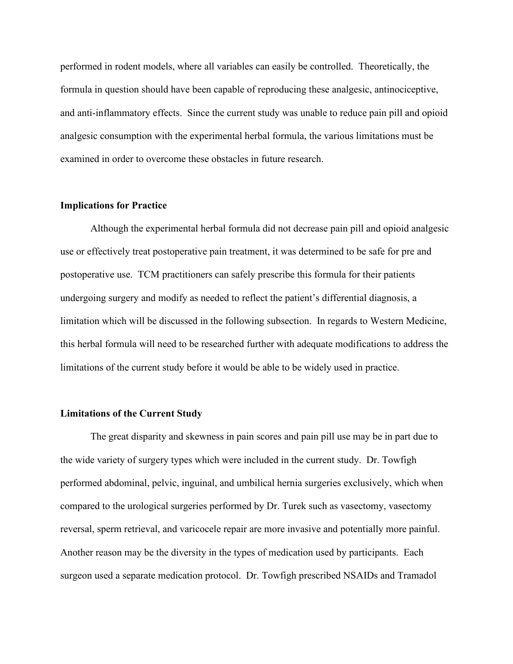performed in rodent models, where all variables can easily be controlled. Theoretically, the formula in question should have been capable of reproducing these analgesic, antinociceptive, and anti-inflammatory effects. Since the current study was unable to reduce pain pill and opioid analgesic consumption with the experimental herbal formula, the various limitations must be examined in order to overcome these obstacles in future research.

#### **Implications for Practice**

Although the experimental herbal formula did not decrease pain pill and opioid analgesic use or effectively treat postoperative pain treatment, it was determined to be safe for pre and postoperative use. TCM practitioners can safely prescribe this formula for their patients undergoing surgery and modify as needed to reflect the patient's differential diagnosis, a limitation which will be discussed in the following subsection. In regards to Western Medicine, this herbal formula will need to be researched further with adequate modifications to address the limitations of the current study before it would be able to be widely used in practice.

#### **Limitations of the Current Study**

The great disparity and skewness in pain scores and pain pill use may be in part due to the wide variety of surgery types which were included in the current study. Dr. Towfigh performed abdominal, pelvic, inguinal, and umbilical hernia surgeries exclusively, which when compared to the urological surgeries performed by Dr. Turek such as vasectomy, vasectomy reversal, sperm retrieval, and varicocele repair are more invasive and potentially more painful. Another reason may be the diversity in the types of medication used by participants. Each surgeon used a separate medication protocol. Dr. Towfigh prescribed NSAIDs and Tramadol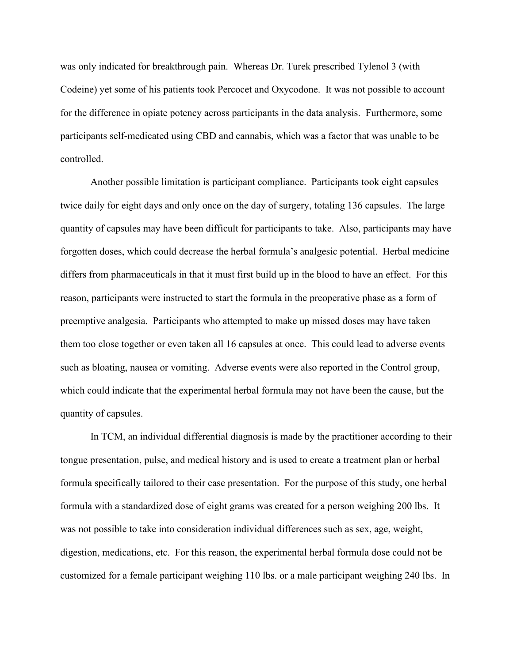was only indicated for breakthrough pain. Whereas Dr. Turek prescribed Tylenol 3 (with Codeine) yet some of his patients took Percocet and Oxycodone. It was not possible to account for the difference in opiate potency across participants in the data analysis. Furthermore, some participants self-medicated using CBD and cannabis, which was a factor that was unable to be controlled.

Another possible limitation is participant compliance. Participants took eight capsules twice daily for eight days and only once on the day of surgery, totaling 136 capsules. The large quantity of capsules may have been difficult for participants to take. Also, participants may have forgotten doses, which could decrease the herbal formula's analgesic potential. Herbal medicine differs from pharmaceuticals in that it must first build up in the blood to have an effect. For this reason, participants were instructed to start the formula in the preoperative phase as a form of preemptive analgesia. Participants who attempted to make up missed doses may have taken them too close together or even taken all 16 capsules at once. This could lead to adverse events such as bloating, nausea or vomiting. Adverse events were also reported in the Control group, which could indicate that the experimental herbal formula may not have been the cause, but the quantity of capsules.

In TCM, an individual differential diagnosis is made by the practitioner according to their tongue presentation, pulse, and medical history and is used to create a treatment plan or herbal formula specifically tailored to their case presentation. For the purpose of this study, one herbal formula with a standardized dose of eight grams was created for a person weighing 200 lbs. It was not possible to take into consideration individual differences such as sex, age, weight, digestion, medications, etc. For this reason, the experimental herbal formula dose could not be customized for a female participant weighing 110 lbs. or a male participant weighing 240 lbs. In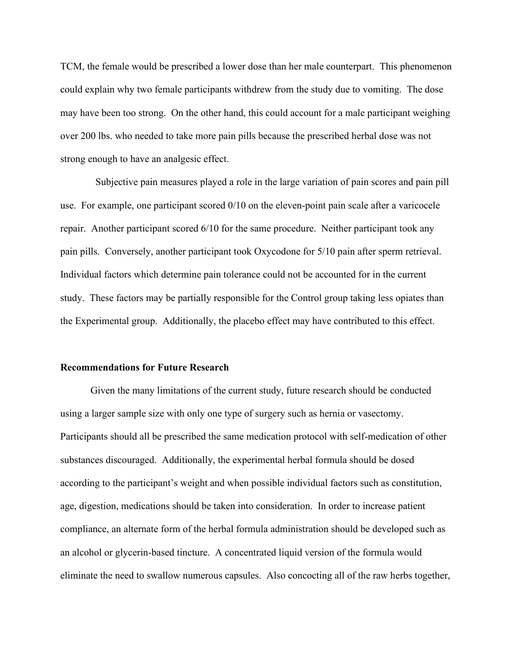TCM, the female would be prescribed a lower dose than her male counterpart. This phenomenon could explain why two female participants withdrew from the study due to vomiting. The dose may have been too strong. On the other hand, this could account for a male participant weighing over 200 lbs. who needed to take more pain pills because the prescribed herbal dose was not strong enough to have an analgesic effect.

 Subjective pain measures played a role in the large variation of pain scores and pain pill use. For example, one participant scored 0/10 on the eleven-point pain scale after a varicocele repair. Another participant scored 6/10 for the same procedure. Neither participant took any pain pills. Conversely, another participant took Oxycodone for 5/10 pain after sperm retrieval. Individual factors which determine pain tolerance could not be accounted for in the current study. These factors may be partially responsible for the Control group taking less opiates than the Experimental group. Additionally, the placebo effect may have contributed to this effect.

#### **Recommendations for Future Research**

Given the many limitations of the current study, future research should be conducted using a larger sample size with only one type of surgery such as hernia or vasectomy. Participants should all be prescribed the same medication protocol with self-medication of other substances discouraged. Additionally, the experimental herbal formula should be dosed according to the participant's weight and when possible individual factors such as constitution, age, digestion, medications should be taken into consideration. In order to increase patient compliance, an alternate form of the herbal formula administration should be developed such as an alcohol or glycerin-based tincture. A concentrated liquid version of the formula would eliminate the need to swallow numerous capsules. Also concocting all of the raw herbs together,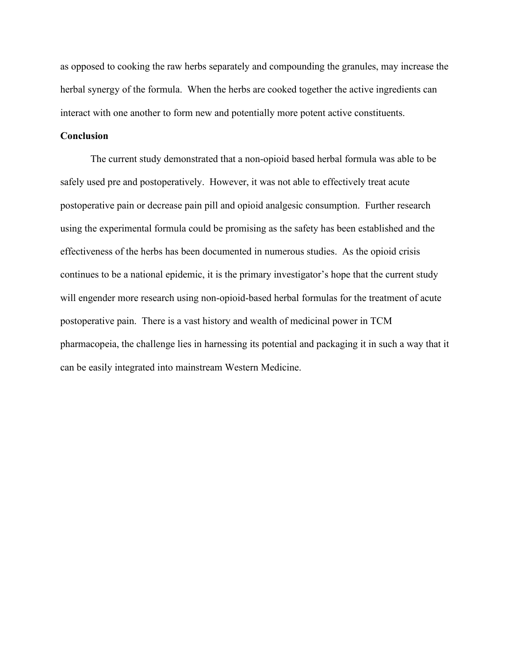as opposed to cooking the raw herbs separately and compounding the granules, may increase the herbal synergy of the formula. When the herbs are cooked together the active ingredients can interact with one another to form new and potentially more potent active constituents.

## **Conclusion**

The current study demonstrated that a non-opioid based herbal formula was able to be safely used pre and postoperatively. However, it was not able to effectively treat acute postoperative pain or decrease pain pill and opioid analgesic consumption. Further research using the experimental formula could be promising as the safety has been established and the effectiveness of the herbs has been documented in numerous studies. As the opioid crisis continues to be a national epidemic, it is the primary investigator's hope that the current study will engender more research using non-opioid-based herbal formulas for the treatment of acute postoperative pain. There is a vast history and wealth of medicinal power in TCM pharmacopeia, the challenge lies in harnessing its potential and packaging it in such a way that it can be easily integrated into mainstream Western Medicine.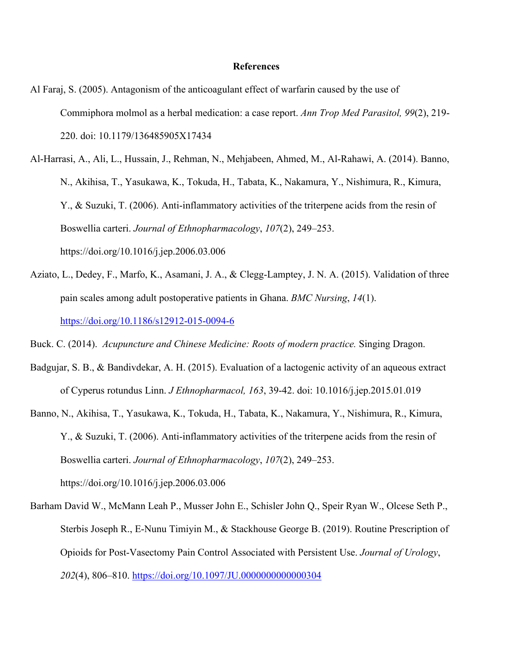#### **References**

Al Faraj, S. (2005). Antagonism of the anticoagulant effect of warfarin caused by the use of Commiphora molmol as a herbal medication: a case report. *Ann Trop Med Parasitol, 99*(2), 219- 220. doi: 10.1179/136485905X17434

Al-Harrasi, A., Ali, L., Hussain, J., Rehman, N., Mehjabeen, Ahmed, M., Al-Rahawi, A. (2014). Banno, N., Akihisa, T., Yasukawa, K., Tokuda, H., Tabata, K., Nakamura, Y., Nishimura, R., Kimura, Y., & Suzuki, T. (2006). Anti-inflammatory activities of the triterpene acids from the resin of Boswellia carteri. *Journal of Ethnopharmacology*, *107*(2), 249–253. https://doi.org/10.1016/j.jep.2006.03.006

Aziato, L., Dedey, F., Marfo, K., Asamani, J. A., & Clegg-Lamptey, J. N. A. (2015). Validation of three pain scales among adult postoperative patients in Ghana. *BMC Nursing*, *14*(1). <https://doi.org/10.1186/s12912-015-0094-6>

Buck. C. (2014). *Acupuncture and Chinese Medicine: Roots of modern practice.* Singing Dragon.

- Badgujar, S. B., & Bandivdekar, A. H. (2015). Evaluation of a lactogenic activity of an aqueous extract of Cyperus rotundus Linn. *J Ethnopharmacol, 163*, 39-42. doi: 10.1016/j.jep.2015.01.019
- Banno, N., Akihisa, T., Yasukawa, K., Tokuda, H., Tabata, K., Nakamura, Y., Nishimura, R., Kimura, Y., & Suzuki, T. (2006). Anti-inflammatory activities of the triterpene acids from the resin of Boswellia carteri. *Journal of Ethnopharmacology*, *107*(2), 249–253. https://doi.org/10.1016/j.jep.2006.03.006
- Barham David W., McMann Leah P., Musser John E., Schisler John Q., Speir Ryan W., Olcese Seth P., Sterbis Joseph R., E-Nunu Timiyin M., & Stackhouse George B. (2019). Routine Prescription of Opioids for Post-Vasectomy Pain Control Associated with Persistent Use. *Journal of Urology*, *202*(4), 806–810.<https://doi.org/10.1097/JU.0000000000000304>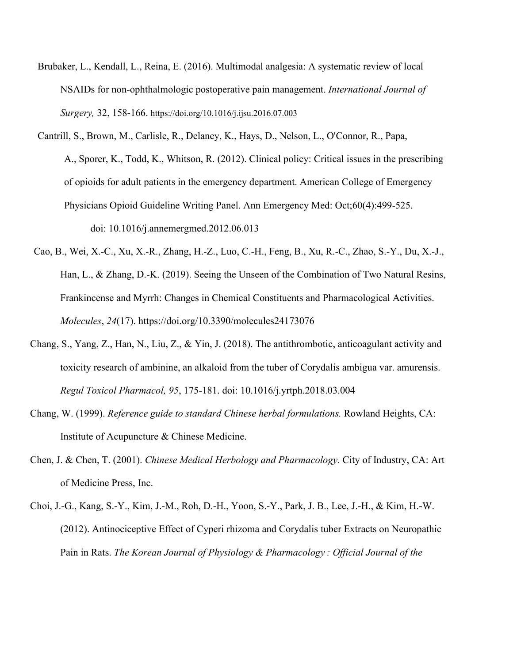- Brubaker, L., Kendall, L., Reina, E. (2016). Multimodal analgesia: A systematic review of local NSAIDs for non-ophthalmologic postoperative pain management. *International Journal of Surgery,* 32, 158-166. <https://doi.org/10.1016/j.ijsu.2016.07.003>
- Cantrill, S., [Brown,](https://www.ncbi.nlm.nih.gov/pubmed/?term=Brown%20MD%5BAuthor%5D&cauthor=true&cauthor_uid=23010181) M., [Carlisle,](https://www.ncbi.nlm.nih.gov/pubmed/?term=Carlisle%20RJ%5BAuthor%5D&cauthor=true&cauthor_uid=23010181) R., Delaney, K., [Hays,](https://www.ncbi.nlm.nih.gov/pubmed/?term=Hays%20DP%5BAuthor%5D&cauthor=true&cauthor_uid=23010181) D., Nelson, L., O'Connor, R., [Papa,](https://www.ncbi.nlm.nih.gov/pubmed/?term=Papa%20A%5BAuthor%5D&cauthor=true&cauthor_uid=23010181) A., [Sporer,](https://www.ncbi.nlm.nih.gov/pubmed/?term=Sporer%20KA%5BAuthor%5D&cauthor=true&cauthor_uid=23010181) K., Todd, K., Whitson, R. (2012). Clinical policy: Critical issues in the prescribing of opioids for adult patients in the emergency department. [American College of Emergency](https://www.ncbi.nlm.nih.gov/pubmed/?term=American%20College%20of%20Emergency%20Physicians%20Opioid%20Guideline%20Writing%20Panel%5BCorporate%20Author%5D)  Physicians Opioid [Guideline Writing Panel.](https://www.ncbi.nlm.nih.gov/pubmed/?term=American%20College%20of%20Emergency%20Physicians%20Opioid%20Guideline%20Writing%20Panel%5BCorporate%20Author%5D) Ann Emergency Med: Oct;60(4):499-525. doi: 10.1016/j.annemergmed.2012.06.013
- Cao, B., Wei, X.-C., Xu, X.-R., Zhang, H.-Z., Luo, C.-H., Feng, B., Xu, R.-C., Zhao, S.-Y., Du, X.-J., Han, L., & Zhang, D.-K. (2019). Seeing the Unseen of the Combination of Two Natural Resins, Frankincense and Myrrh: Changes in Chemical Constituents and Pharmacological Activities. *Molecules*, *24*(17). https://doi.org/10.3390/molecules24173076
- Chang, S., Yang, Z., Han, N., Liu, Z., & Yin, J. (2018). The antithrombotic, anticoagulant activity and toxicity research of ambinine, an alkaloid from the tuber of Corydalis ambigua var. amurensis. *Regul Toxicol Pharmacol, 95*, 175-181. doi: 10.1016/j.yrtph.2018.03.004
- Chang, W. (1999). *Reference guide to standard Chinese herbal formulations.* Rowland Heights, CA: Institute of Acupuncture & Chinese Medicine.
- Chen, J. & Chen, T. (2001). *Chinese Medical Herbology and Pharmacology.* City of Industry, CA: Art of Medicine Press, Inc.
- Choi, J.-G., Kang, S.-Y., Kim, J.-M., Roh, D.-H., Yoon, S.-Y., Park, J. B., Lee, J.-H., & Kim, H.-W. (2012). Antinociceptive Effect of Cyperi rhizoma and Corydalis tuber Extracts on Neuropathic Pain in Rats. *The Korean Journal of Physiology & Pharmacology : Official Journal of the*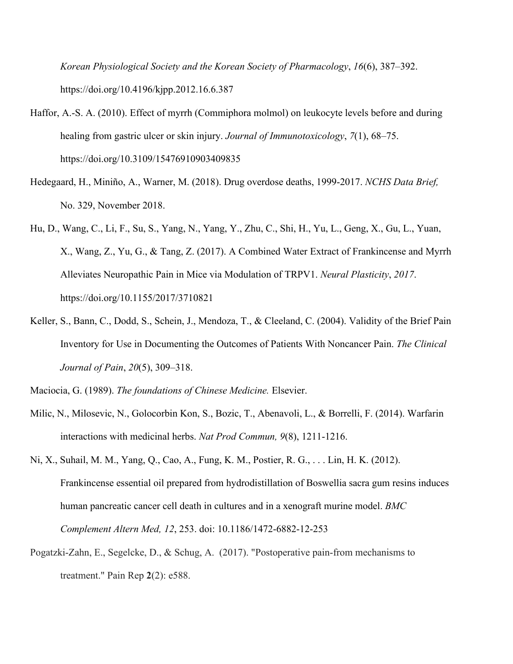*Korean Physiological Society and the Korean Society of Pharmacology*, *16*(6), 387–392. https://doi.org/10.4196/kjpp.2012.16.6.387

- Haffor, A.-S. A. (2010). Effect of myrrh (Commiphora molmol) on leukocyte levels before and during healing from gastric ulcer or skin injury. *Journal of Immunotoxicology*, *7*(1), 68–75. https://doi.org/10.3109/15476910903409835
- Hedegaard, H., Miniño, A., Warner, M. (2018). Drug overdose deaths, 1999-2017. *NCHS Data Brief,*  No. 329, November 2018.
- Hu, D., Wang, C., Li, F., Su, S., Yang, N., Yang, Y., Zhu, C., Shi, H., Yu, L., Geng, X., Gu, L., Yuan, X., Wang, Z., Yu, G., & Tang, Z. (2017). A Combined Water Extract of Frankincense and Myrrh Alleviates Neuropathic Pain in Mice via Modulation of TRPV1. *Neural Plasticity*, *2017*. https://doi.org/10.1155/2017/3710821
- Keller, S., Bann, C., Dodd, S., Schein, J., Mendoza, T., & Cleeland, C. (2004). Validity of the Brief Pain Inventory for Use in Documenting the Outcomes of Patients With Noncancer Pain. *The Clinical Journal of Pain*, *20*(5), 309–318.
- Maciocia, G. (1989). *The foundations of Chinese Medicine.* Elsevier.
- Milic, N., Milosevic, N., Golocorbin Kon, S., Bozic, T., Abenavoli, L., & Borrelli, F. (2014). Warfarin interactions with medicinal herbs. *Nat Prod Commun, 9*(8), 1211-1216.
- Ni, X., Suhail, M. M., Yang, Q., Cao, A., Fung, K. M., Postier, R. G., . . . Lin, H. K. (2012). Frankincense essential oil prepared from hydrodistillation of Boswellia sacra gum resins induces human pancreatic cancer cell death in cultures and in a xenograft murine model. *BMC Complement Altern Med, 12*, 253. doi: 10.1186/1472-6882-12-253
- Pogatzki-Zahn, E., Segelcke, D., & Schug, A. (2017). "Postoperative pain-from mechanisms to treatment." Pain Rep **2**(2): e588.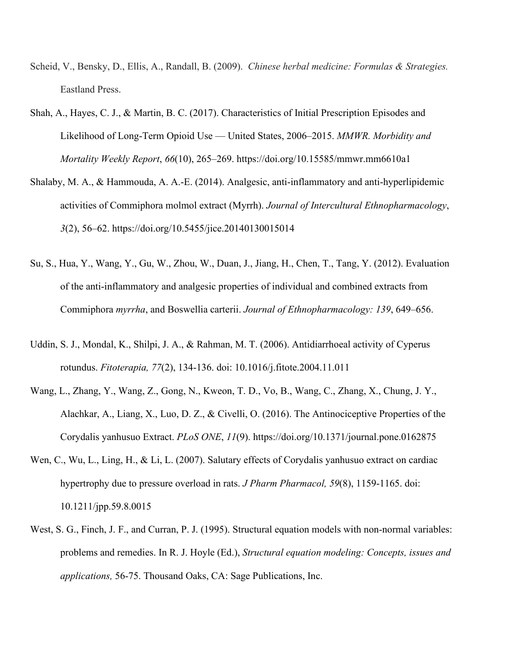- Scheid, V., Bensky, D., Ellis, A., Randall, B. (2009). *Chinese herbal medicine: Formulas & Strategies.*  Eastland Press.
- Shah, A., Hayes, C. J., & Martin, B. C. (2017). Characteristics of Initial Prescription Episodes and Likelihood of Long-Term Opioid Use — United States, 2006–2015. *MMWR. Morbidity and Mortality Weekly Report*, *66*(10), 265–269. https://doi.org/10.15585/mmwr.mm6610a1
- Shalaby, M. A., & Hammouda, A. A.-E. (2014). Analgesic, anti-inflammatory and anti-hyperlipidemic activities of Commiphora molmol extract (Myrrh). *Journal of Intercultural Ethnopharmacology*, *3*(2), 56–62. https://doi.org/10.5455/jice.20140130015014
- Su, S., Hua, Y., Wang, Y., Gu, W., Zhou, W., Duan, J., Jiang, H., Chen, T., Tang, Y. (2012). Evaluation of the anti-inflammatory and analgesic properties of individual and combined extracts from Commiphora *myrrha*, and Boswellia carterii. *Journal of Ethnopharmacology: 139*, 649–656.
- Uddin, S. J., Mondal, K., Shilpi, J. A., & Rahman, M. T. (2006). Antidiarrhoeal activity of Cyperus rotundus. *Fitoterapia, 77*(2), 134-136. doi: 10.1016/j.fitote.2004.11.011
- Wang, L., Zhang, Y., Wang, Z., Gong, N., Kweon, T. D., Vo, B., Wang, C., Zhang, X., Chung, J. Y., Alachkar, A., Liang, X., Luo, D. Z., & Civelli, O. (2016). The Antinociceptive Properties of the Corydalis yanhusuo Extract. *PLoS ONE*, *11*(9). https://doi.org/10.1371/journal.pone.0162875
- Wen, C., Wu, L., Ling, H., & Li, L. (2007). Salutary effects of Corydalis yanhusuo extract on cardiac hypertrophy due to pressure overload in rats. *J Pharm Pharmacol, 59*(8), 1159-1165. doi: 10.1211/jpp.59.8.0015
- West, S. G., Finch, J. F., and Curran, P. J. (1995). Structural equation models with non-normal variables: problems and remedies. In R. J. Hoyle (Ed.), *Structural equation modeling: Concepts, issues and applications,* 56-75. Thousand Oaks, CA: Sage Publications, Inc.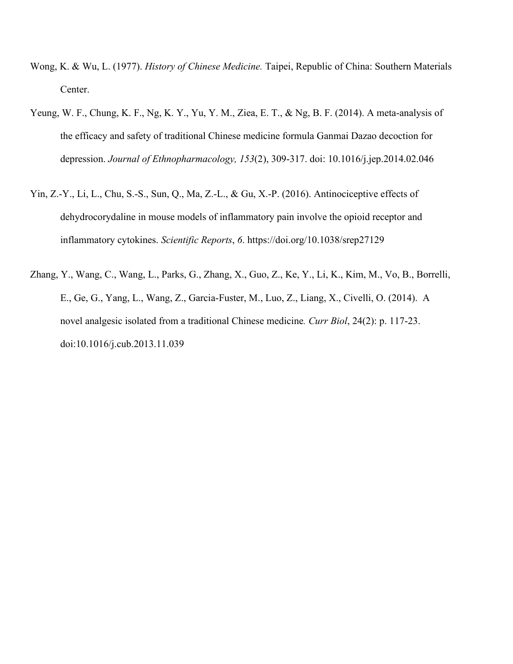- Wong, K. & Wu, L. (1977). *History of Chinese Medicine.* Taipei, Republic of China: Southern Materials Center.
- Yeung, W. F., Chung, K. F., Ng, K. Y., Yu, Y. M., Ziea, E. T., & Ng, B. F. (2014). A meta-analysis of the efficacy and safety of traditional Chinese medicine formula Ganmai Dazao decoction for depression. *Journal of Ethnopharmacology, 153*(2), 309-317. doi: 10.1016/j.jep.2014.02.046
- Yin, Z.-Y., Li, L., Chu, S.-S., Sun, Q., Ma, Z.-L., & Gu, X.-P. (2016). Antinociceptive effects of dehydrocorydaline in mouse models of inflammatory pain involve the opioid receptor and inflammatory cytokines. *Scientific Reports*, *6*. https://doi.org/10.1038/srep27129
- Zhang, Y., Wang, C., Wang, L., Parks, G., Zhang, X., Guo, Z., Ke, Y., Li, K., Kim, M., Vo, B., Borrelli, E., Ge, G., Yang, L., Wang, Z., Garcia-Fuster, M., Luo, Z., Liang, X., Civelli, O. (2014). A novel analgesic isolated from a traditional Chinese medicine*. Curr Biol*, 24(2): p. 117-23. doi:10.1016/j.cub.2013.11.039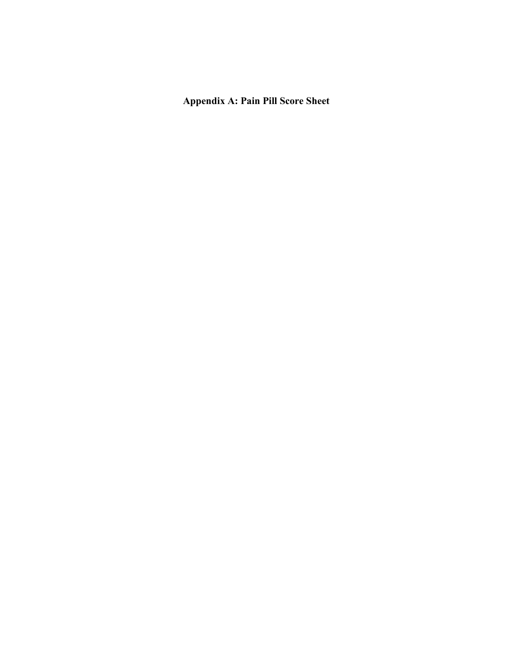# **Appendix A: Pain Pill Score Sheet**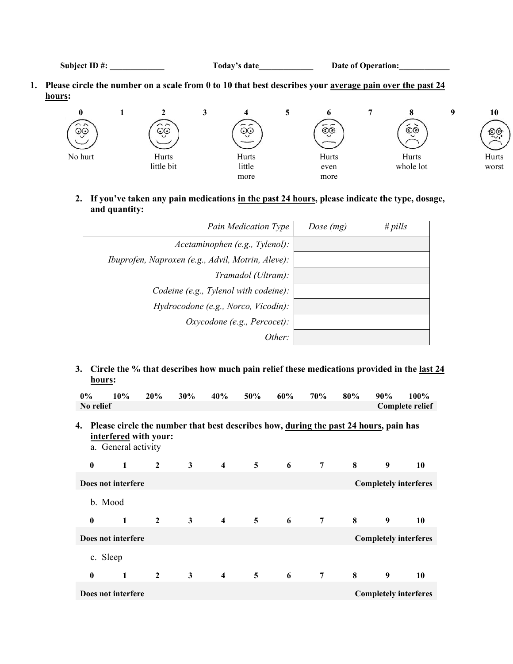Subject ID #: Today's date Date of Operation:

**1. Please circle the number on a scale from 0 to 10 that best describes your average pain over the past 24 hours:**



**2. If you've taken any pain medications in the past 24 hours, please indicate the type, dosage, and quantity:** 

| <b>Pain Medication Type</b>                       | Dose $(mg)$ | # $pills$ |
|---------------------------------------------------|-------------|-----------|
| Acetaminophen (e.g., Tylenol):                    |             |           |
| Ibuprofen, Naproxen (e.g., Advil, Motrin, Aleve): |             |           |
| Tramadol (Ultram):                                |             |           |
| Codeine (e.g., Tylenol with codeine):             |             |           |
| Hydrocodone (e.g., Norco, Vicodin):               |             |           |
| Oxycodone (e.g., Percocet):                       |             |           |
| Other:                                            |             |           |

**3. Circle the % that describes how much pain relief these medications provided in the last 24 hours:**

|    | $0\%$        | 10%                                                                                                                                  | 20%            | 30%          | 40%                     | 50%            | 60% | 70%            | 80% | 90% | 100%                         |
|----|--------------|--------------------------------------------------------------------------------------------------------------------------------------|----------------|--------------|-------------------------|----------------|-----|----------------|-----|-----|------------------------------|
|    | No relief    |                                                                                                                                      |                |              |                         |                |     |                |     |     | <b>Complete relief</b>       |
| 4. |              | Please circle the number that best describes how, during the past 24 hours, pain has<br>interfered with your:<br>a. General activity |                |              |                         |                |     |                |     |     |                              |
|    | $\bf{0}$     | 1                                                                                                                                    | $\overline{2}$ | 3            | $\overline{4}$          | $5^{\circ}$    | 6   | $\overline{7}$ | 8   | 9   | 10                           |
|    |              | Does not interfere                                                                                                                   |                |              |                         |                |     |                |     |     | <b>Completely interferes</b> |
|    |              | b. Mood                                                                                                                              |                |              |                         |                |     |                |     |     |                              |
|    | $\mathbf{0}$ | 1                                                                                                                                    | $\overline{2}$ | $\mathbf{3}$ | $\overline{4}$          | 5 <sup>5</sup> | 6   | $\overline{7}$ | 8   | 9   | 10                           |
|    |              | Does not interfere                                                                                                                   |                |              |                         |                |     |                |     |     | <b>Completely interferes</b> |
|    |              | c. Sleep                                                                                                                             |                |              |                         |                |     |                |     |     |                              |
|    | $\bf{0}$     | $\mathbf{1}$                                                                                                                         | $\overline{2}$ | $\mathbf{3}$ | $\overline{\mathbf{4}}$ | $\overline{5}$ | 6   | 7              | 8   | 9   | 10                           |
|    |              | Does not interfere                                                                                                                   |                |              |                         |                |     |                |     |     | <b>Completely interferes</b> |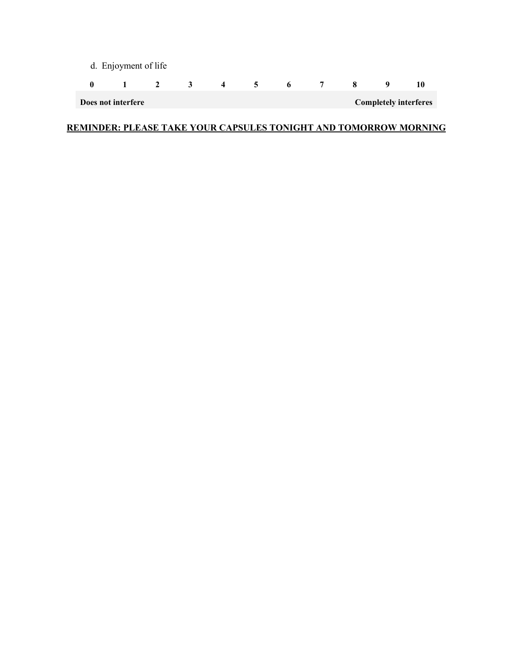| d. Enjoyment of life                               |              |                         |                         |   |            |                 |                |  |              |  |
|----------------------------------------------------|--------------|-------------------------|-------------------------|---|------------|-----------------|----------------|--|--------------|--|
|                                                    | $\mathbf{1}$ | $\overline{\mathbf{2}}$ | $\overline{\mathbf{3}}$ | 4 | $\sqrt{5}$ | $6\overline{6}$ | $\overline{7}$ |  | $\mathbf{o}$ |  |
| <b>Completely interferes</b><br>Does not interfere |              |                         |                         |   |            |                 |                |  |              |  |

# **REMINDER: PLEASE TAKE YOUR CAPSULES TONIGHT AND TOMORROW MORNING**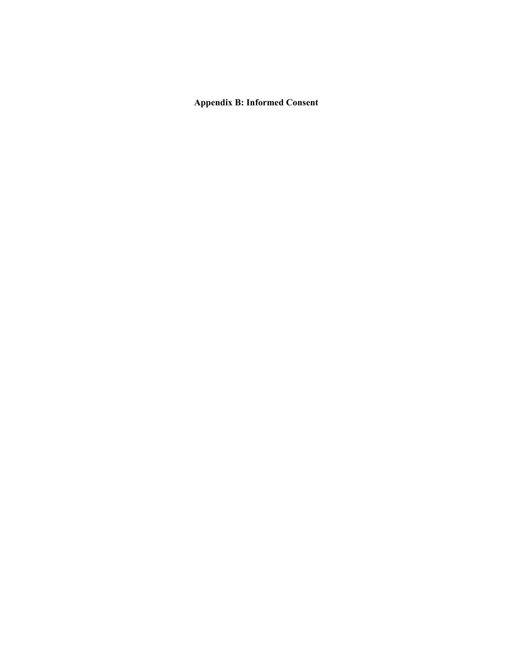**Appendix B: Informed Consent**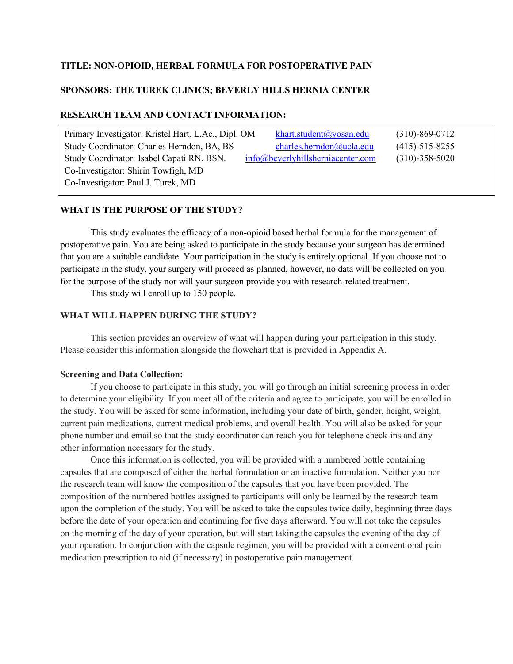#### **TITLE: NON-OPIOID, HERBAL FORMULA FOR POSTOPERATIVE PAIN**

### **SPONSORS: THE TUREK CLINICS; BEVERLY HILLS HERNIA CENTER**

#### **RESEARCH TEAM AND CONTACT INFORMATION:**

| Primary Investigator: Kristel Hart, L.Ac., Dipl. OM | khart.student@yosan.edu              | $(310) - 869 - 0712$ |
|-----------------------------------------------------|--------------------------------------|----------------------|
| Study Coordinator: Charles Herndon, BA, BS          | charles.herndon@ucla.edu             | $(415) - 515 - 8255$ |
| Study Coordinator: Isabel Capati RN, BSN.           | $info@$ beverlyhillsherniacenter.com | $(310) - 358 - 5020$ |
| Co-Investigator: Shirin Towfigh, MD                 |                                      |                      |
| Co-Investigator: Paul J. Turek, MD                  |                                      |                      |

#### **WHAT IS THE PURPOSE OF THE STUDY?**

This study evaluates the efficacy of a non-opioid based herbal formula for the management of postoperative pain. You are being asked to participate in the study because your surgeon has determined that you are a suitable candidate. Your participation in the study is entirely optional. If you choose not to participate in the study, your surgery will proceed as planned, however, no data will be collected on you for the purpose of the study nor will your surgeon provide you with research-related treatment.

This study will enroll up to 150 people.

### **WHAT WILL HAPPEN DURING THE STUDY?**

This section provides an overview of what will happen during your participation in this study. Please consider this information alongside the flowchart that is provided in Appendix A.

#### **Screening and Data Collection:**

If you choose to participate in this study, you will go through an initial screening process in order to determine your eligibility. If you meet all of the criteria and agree to participate, you will be enrolled in the study. You will be asked for some information, including your date of birth, gender, height, weight, current pain medications, current medical problems, and overall health. You will also be asked for your phone number and email so that the study coordinator can reach you for telephone check-ins and any other information necessary for the study.

Once this information is collected, you will be provided with a numbered bottle containing capsules that are composed of either the herbal formulation or an inactive formulation. Neither you nor the research team will know the composition of the capsules that you have been provided. The composition of the numbered bottles assigned to participants will only be learned by the research team upon the completion of the study. You will be asked to take the capsules twice daily, beginning three days before the date of your operation and continuing for five days afterward. You will not take the capsules on the morning of the day of your operation, but will start taking the capsules the evening of the day of your operation. In conjunction with the capsule regimen, you will be provided with a conventional pain medication prescription to aid (if necessary) in postoperative pain management.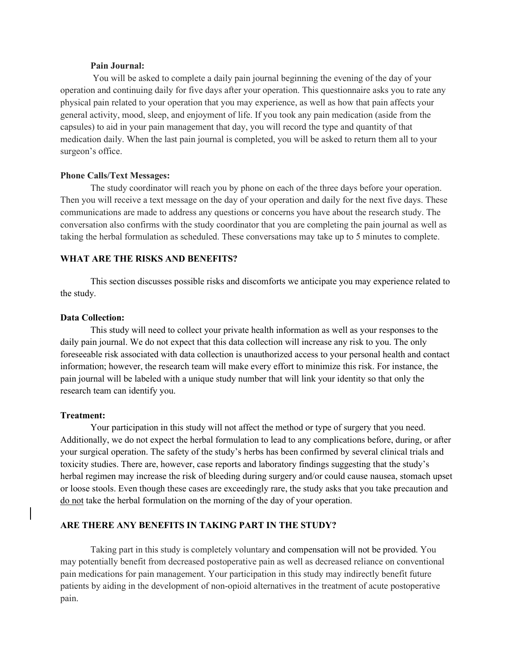#### **Pain Journal:**

You will be asked to complete a daily pain journal beginning the evening of the day of your operation and continuing daily for five days after your operation. This questionnaire asks you to rate any physical pain related to your operation that you may experience, as well as how that pain affects your general activity, mood, sleep, and enjoyment of life. If you took any pain medication (aside from the capsules) to aid in your pain management that day, you will record the type and quantity of that medication daily. When the last pain journal is completed, you will be asked to return them all to your surgeon's office.

#### **Phone Calls/Text Messages:**

The study coordinator will reach you by phone on each of the three days before your operation. Then you will receive a text message on the day of your operation and daily for the next five days. These communications are made to address any questions or concerns you have about the research study. The conversation also confirms with the study coordinator that you are completing the pain journal as well as taking the herbal formulation as scheduled. These conversations may take up to 5 minutes to complete.

#### **WHAT ARE THE RISKS AND BENEFITS?**

This section discusses possible risks and discomforts we anticipate you may experience related to the study.

#### **Data Collection:**

This study will need to collect your private health information as well as your responses to the daily pain journal. We do not expect that this data collection will increase any risk to you. The only foreseeable risk associated with data collection is unauthorized access to your personal health and contact information; however, the research team will make every effort to minimize this risk. For instance, the pain journal will be labeled with a unique study number that will link your identity so that only the research team can identify you.

#### **Treatment:**

Your participation in this study will not affect the method or type of surgery that you need. Additionally, we do not expect the herbal formulation to lead to any complications before, during, or after your surgical operation. The safety of the study's herbs has been confirmed by several clinical trials and toxicity studies. There are, however, case reports and laboratory findings suggesting that the study's herbal regimen may increase the risk of bleeding during surgery and/or could cause nausea, stomach upset or loose stools. Even though these cases are exceedingly rare, the study asks that you take precaution and do not take the herbal formulation on the morning of the day of your operation.

#### **ARE THERE ANY BENEFITS IN TAKING PART IN THE STUDY?**

Taking part in this study is completely voluntary and compensation will not be provided. You may potentially benefit from decreased postoperative pain as well as decreased reliance on conventional pain medications for pain management. Your participation in this study may indirectly benefit future patients by aiding in the development of non-opioid alternatives in the treatment of acute postoperative pain.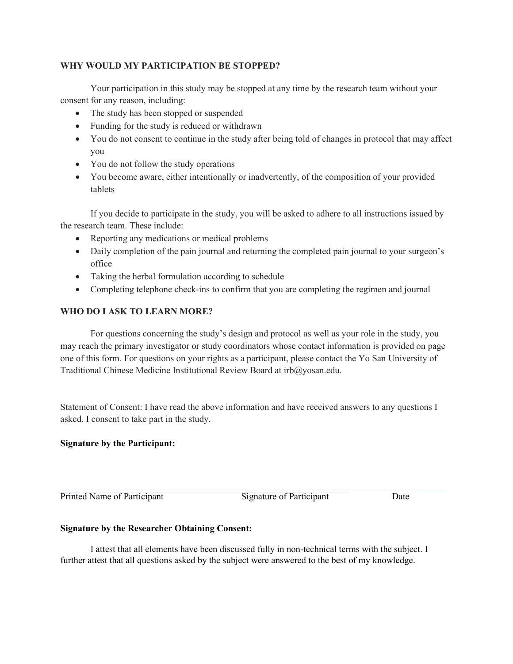#### **WHY WOULD MY PARTICIPATION BE STOPPED?**

Your participation in this study may be stopped at any time by the research team without your consent for any reason, including:

- The study has been stopped or suspended
- Funding for the study is reduced or withdrawn
- You do not consent to continue in the study after being told of changes in protocol that may affect you
- You do not follow the study operations
- You become aware, either intentionally or inadvertently, of the composition of your provided tablets

If you decide to participate in the study, you will be asked to adhere to all instructions issued by the research team. These include:

- Reporting any medications or medical problems
- Daily completion of the pain journal and returning the completed pain journal to your surgeon's office
- Taking the herbal formulation according to schedule
- Completing telephone check-ins to confirm that you are completing the regimen and journal

## **WHO DO I ASK TO LEARN MORE?**

For questions concerning the study's design and protocol as well as your role in the study, you may reach the primary investigator or study coordinators whose contact information is provided on page one of this form. For questions on your rights as a participant, please contact the Yo San University of Traditional Chinese Medicine Institutional Review Board at irb@yosan.edu.

Statement of Consent: I have read the above information and have received answers to any questions I asked. I consent to take part in the study.

## **Signature by the Participant:**

Printed Name of Participant Signature of Participant Date

## **Signature by the Researcher Obtaining Consent:**

I attest that all elements have been discussed fully in non-technical terms with the subject. I further attest that all questions asked by the subject were answered to the best of my knowledge.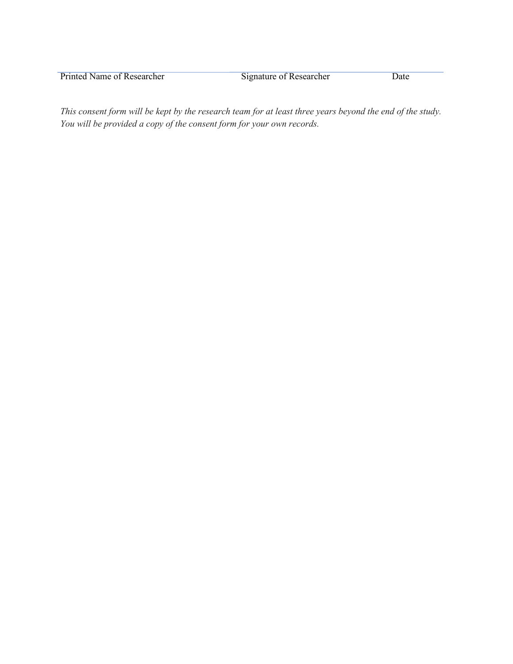Printed Name of Researcher Signature of Researcher Date

*This consent form will be kept by the research team for at least three years beyond the end of the study. You will be provided a copy of the consent form for your own records.*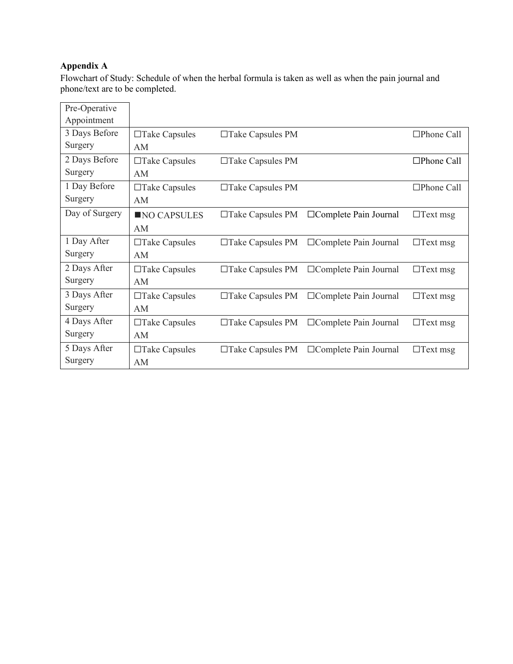# **Appendix A**

Flowchart of Study: Schedule of when the herbal formula is taken as well as when the pain journal and phone/text are to be completed.

| Pre-Operative  |                      |                         |                              |                   |
|----------------|----------------------|-------------------------|------------------------------|-------------------|
| Appointment    |                      |                         |                              |                   |
| 3 Days Before  | $\Box$ Take Capsules | $\Box$ Take Capsules PM |                              | $\Box$ Phone Call |
| Surgery        | AM                   |                         |                              |                   |
| 2 Days Before  | $\Box$ Take Capsules | $\Box$ Take Capsules PM |                              | $\Box$ Phone Call |
| Surgery        | AM                   |                         |                              |                   |
| 1 Day Before   | $\Box$ Take Capsules | □Take Capsules PM       |                              | $\Box$ Phone Call |
| Surgery        | AM                   |                         |                              |                   |
| Day of Surgery | NO CAPSULES          | $\Box$ Take Capsules PM | □Complete Pain Journal       | $\Box$ Text msg   |
|                | AM                   |                         |                              |                   |
| 1 Day After    | $\Box$ Take Capsules | $\Box$ Take Capsules PM | $\Box$ Complete Pain Journal | $\Box$ Text msg   |
| Surgery        | AM                   |                         |                              |                   |
| 2 Days After   | $\Box$ Take Capsules | $\Box$ Take Capsules PM | $\Box$ Complete Pain Journal | $\Box$ Text msg   |
| Surgery        | AM                   |                         |                              |                   |
| 3 Days After   | $\Box$ Take Capsules | $\Box$ Take Capsules PM | □ Complete Pain Journal      | $\Box$ Text msg   |
| Surgery        | AM                   |                         |                              |                   |
| 4 Days After   | $\Box$ Take Capsules | $\Box$ Take Capsules PM | $\Box$ Complete Pain Journal | $\Box$ Text msg   |
| Surgery        | AM                   |                         |                              |                   |
| 5 Days After   | $\Box$ Take Capsules | $\Box$ Take Capsules PM | $\Box$ Complete Pain Journal | $\Box$ Text msg   |
| Surgery        | AM                   |                         |                              |                   |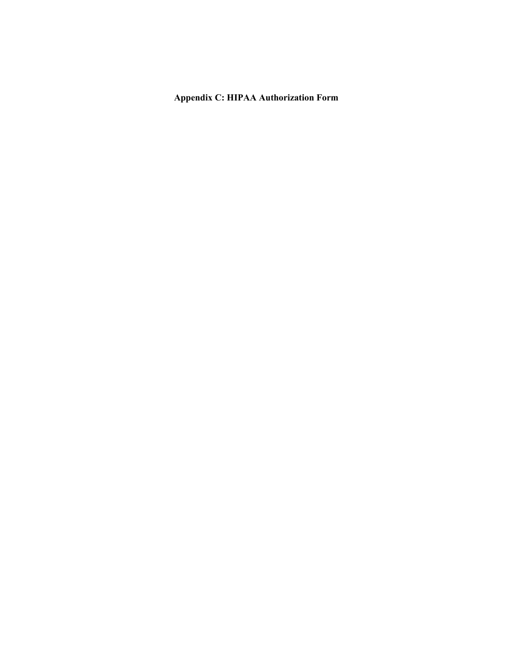# **Appendix C: HIPAA Authorization Form**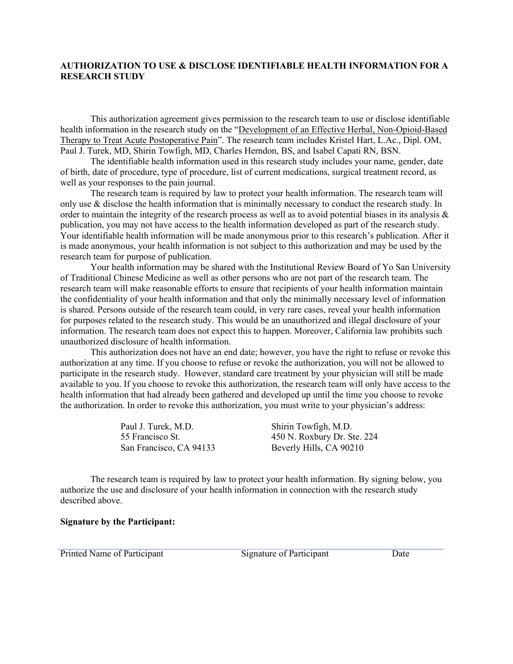#### **AUTHORIZATION TO USE & DISCLOSE IDENTIFIABLE HEALTH INFORMATION FOR A RESEARCH STUDY**

This authorization agreement gives permission to the research team to use or disclose identifiable health information in the research study on the "Development of an Effective Herbal, Non-Opioid-Based Therapy to Treat Acute Postoperative Pain". The research team includes Kristel Hart, L.Ac., Dipl. OM, Paul J. Turek, MD, Shirin Towfigh, MD, Charles Herndon, BS, and Isabel Capati RN, BSN.

The identifiable health information used in this research study includes your name, gender, date of birth, date of procedure, type of procedure, list of current medications, surgical treatment record, as well as your responses to the pain journal.

The research team is required by law to protect your health information. The research team will only use & disclose the health information that is minimally necessary to conduct the research study. In order to maintain the integrity of the research process as well as to avoid potential biases in its analysis & publication, you may not have access to the health information developed as part of the research study. Your identifiable health information will be made anonymous prior to this research's publication. After it is made anonymous, your health information is not subject to this authorization and may be used by the research team for purpose of publication.

Your health information may be shared with the Institutional Review Board of Yo San University of Traditional Chinese Medicine as well as other persons who are not part of the research team. The research team will make reasonable efforts to ensure that recipients of your health information maintain the confidentiality of your health information and that only the minimally necessary level of information is shared. Persons outside of the research team could, in very rare cases, reveal your health information for purposes related to the research study. This would be an unauthorized and illegal disclosure of your information. The research team does not expect this to happen. Moreover, California law prohibits such unauthorized disclosure of health information.

This authorization does not have an end date; however, you have the right to refuse or revoke this authorization at any time. If you choose to refuse or revoke the authorization, you will not be allowed to participate in the research study. However, standard care treatment by your physician will still be made available to you. If you choose to revoke this authorization, the research team will only have access to the health information that had already been gathered and developed up until the time you choose to revoke the authorization. In order to revoke this authorization, you must write to your physician's address:

Paul J. Turek, M.D. Shirin Towfigh, M.D.

55 Francisco St. 450 N. Roxbury Dr. Ste. 224 San Francisco, CA 94133 Beverly Hills, CA 90210

The research team is required by law to protect your health information. By signing below, you authorize the use and disclosure of your health information in connection with the research study described above.

#### **Signature by the Participant:**

Printed Name of Participant Signature of Participant Date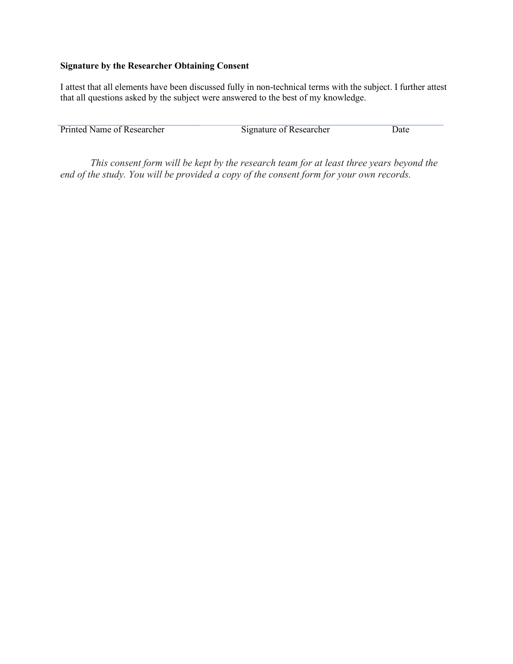## **Signature by the Researcher Obtaining Consent**

I attest that all elements have been discussed fully in non-technical terms with the subject. I further attest that all questions asked by the subject were answered to the best of my knowledge.

| Printed Name of Researcher | Signature of Researcher |  |
|----------------------------|-------------------------|--|

*This consent form will be kept by the research team for at least three years beyond the end of the study. You will be provided a copy of the consent form for your own records.*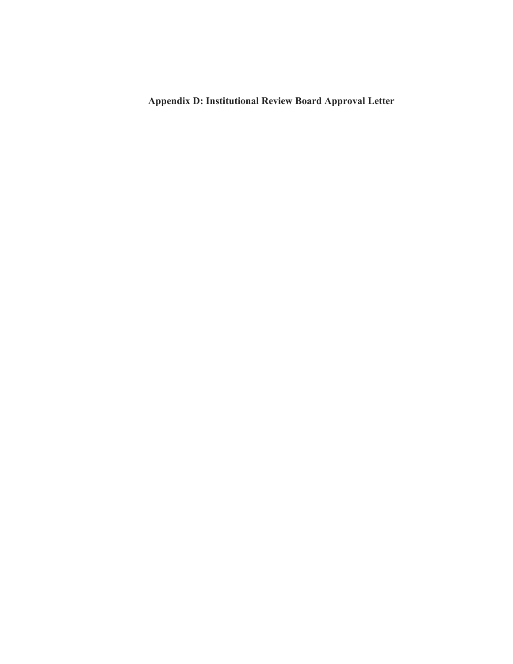**Appendix D: Institutional Review Board Approval Letter**